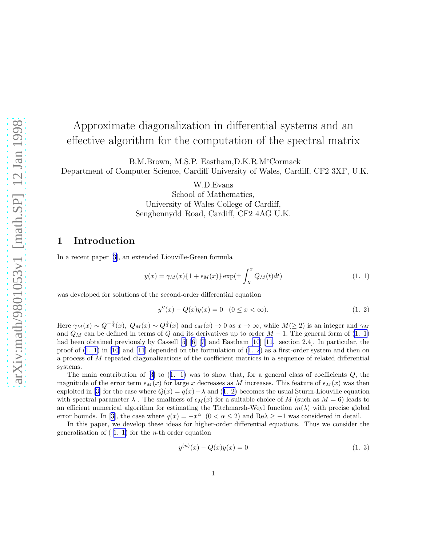# <span id="page-0-0"></span>Approximate diagonalization in differential systems and an effective algorithm for the computation of the spectral matrix

B.M.Brown, M.S.P. Eastham,D.K.R.M<sup>c</sup>Cormack

Department of Computer Science, Cardiff University of Wales, Cardiff, CF2 3XF, U.K.

W.D.Evans

School of Mathematics, University of Wales College of Cardiff, Senghennydd Road, Cardiff, CF2 4AG U.K.

## 1 Introduction

In a recent paper[[3\]](#page-25-0), an extended Liouville-Green formula

$$
y(x) = \gamma_M(x)\{1 + \epsilon_M(x)\} \exp\left(\pm \int_X^x Q_M(t)dt\right) \tag{1.1}
$$

was developed for solutions of the second-order differential equation

$$
y''(x) - Q(x)y(x) = 0 \quad (0 \le x < \infty).
$$
 (1. 2)

Here  $\gamma_M(x) \sim Q^{-\frac{1}{4}}(x)$ ,  $Q_M(x) \sim Q^{\frac{1}{2}}(x)$  and  $\epsilon_M(x) \to 0$  as  $x \to \infty$ , while  $M(\geq 2)$  is an integer and  $\gamma_M$ and  $Q_M$  can be defined in terms of  $Q$  and its derivatives up to order  $M-1$ . The general form of  $(1, 1)$ had been obtained previously by Cassell [\[5](#page-25-0)] [\[6](#page-25-0)] [\[7\]](#page-26-0) and Eastham [\[10](#page-26-0)][[11,](#page-26-0) section 2.4]. In particular, the proof of  $(1, 1)$  in [\[10](#page-26-0)] and [\[11](#page-26-0)] depended on the formulation of  $(1, 2)$  as a first-order system and then on a process of M repeated diagonalizations of the coefficient matrices in a sequence of related differential systems.

Themain contribution of  $[3]$  $[3]$  to  $(1. 1)$  was to show that, for a general class of coefficients  $Q$ , the magnitude of the error term  $\epsilon_M(x)$  for large x decreases as M increases. This feature of  $\epsilon_M(x)$  was then exploitedin [[3\]](#page-25-0) for the case where  $Q(x) = q(x) - \lambda$  and (1. 2) becomes the usual Sturm-Liouville equation with spectral parameter  $\lambda$ . The smallness of  $\epsilon_M(x)$  for a suitable choice of M (such as  $M = 6$ ) leads to an efficient numerical algorithm for estimating the Titchmarsh-Weyl function  $m(\lambda)$  with precise global errorbounds. In [[3\]](#page-25-0), the case where  $q(x) = -x^{\alpha}$   $(0 < \alpha \le 2)$  and Re $\lambda \ge -1$  was considered in detail.

In this paper, we develop these ideas for higher-order differential equations. Thus we consider the generalisation of  $(1, 1)$  for the *n*-th order equation

$$
y^{(n)}(x) - Q(x)y(x) = 0
$$
\n(1. 3)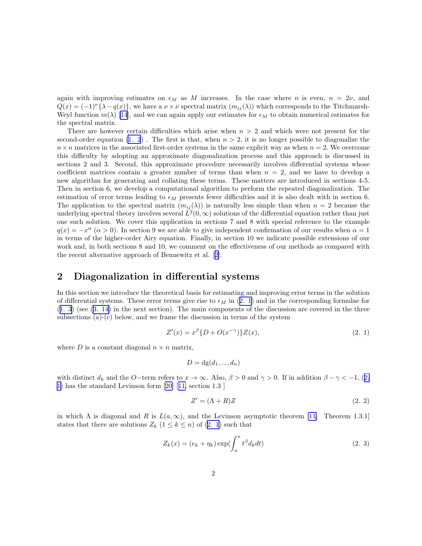<span id="page-1-0"></span>again with improving estimates on  $\epsilon_M$  as M increases. In the case where n is even,  $n = 2\nu$ , and  $Q(x) = (-1)^{\nu} {\lambda - q(x)}$ , we have a  $\nu \times \nu$  spectral matrix  $(m_{ij}(\lambda))$  which corresponds to the Titchmarsh-Weyl function  $m(\lambda)$  [\[14](#page-26-0)], and we can again apply our estimates for  $\epsilon_M$  to obtain numerical estimates for the spectral matrix.

There are however certain difficulties which arise when  $n > 2$  and which were not present for the second-order equation  $(1, 2)$ . The first is that, when  $n > 2$ , it is no longer possible to diagonalize the  $n \times n$  matrices in the associated first-order systems in the same explicit way as when  $n = 2$ . We overcome this difficulty by adopting an approximate diagonalization process and this approach is discussed in sections 2 and 3. Second, this approximate procedure necessarily involves differential systems whose coefficient matrices contain a greater number of terms than when  $n = 2$ , and we have to develop a new algorithm for generating and collating these terms. These matters are introduced in sections 4-5. Then in section 6, we develop a computational algorithm to perform the repeated diagonalization. The estimation of error terms leading to  $\epsilon_M$  presents fewer difficulties and it is also dealt with in section 6. The application to the spectral matrix  $(m_{ij}(\lambda))$  is naturally less simple than when  $n = 2$  because the underlying spectral theory involves several  $L^2(0,\infty)$  solutions of the differential equation rather than just one such solution. We cover this application in sections 7 and 8 with special reference to the example  $q(x) = -x^{\alpha}$  ( $\alpha > 0$ ). In section 9 we are able to give independent confirmation of our results when  $\alpha = 1$ in terms of the higher-order Airy equation. Finally, in section 10 we indicate possible extensions of our work and, in both sections 8 and 10, we comment on the effectiveness of our methods as compared with the recent alternative approach of Bennewitz et al.[[2\]](#page-25-0).

### 2 Diagonalization in differential systems

In this section we introduce the theoretical basis for estimating and improving error terms in the solution of differential systems. These error terms give rise to  $\epsilon_M$  in (2. 1) and in the corresponding formulae for ([1. 3](#page-0-0)) (see [\(3. 14\)](#page-4-0) in the next section). The main components of the discussion are covered in the three subsections (a)-(c) below, and we frame the discussion in terms of the system

$$
Z'(x) = x^{\beta} \{ D + O(x^{-\gamma}) \} Z(x), \tag{2.1}
$$

where D is a constant diagonal  $n \times n$  matrix,

$$
D = \mathrm{dg}(d_1, ..., d_n)
$$

with distinct  $d_k$  and the O−term refers to  $x \to \infty$ . Also,  $\beta > 0$  and  $\gamma > 0$ . If in addition  $\beta - \gamma < -1$ , (2. 1) has the standard Levinson form[[20\]](#page-26-0) [[11,](#page-26-0) section 1.3 ]

$$
Z' = (\Lambda + R)Z \tag{2.2}
$$

in which  $\Lambda$  is diagonal and  $R$  is  $L(a,\infty)$ , and the Levinson asymptotic theorem [\[11,](#page-26-0) Theorem 1.3.1] states that there are solutions  $Z_k$   $(1 \leq k \leq n)$  of  $(2, 1)$  such that

$$
Z_k(x) = (e_k + \eta_k) \exp(\int_a^x t^\beta d_k dt)
$$
\n(2. 3)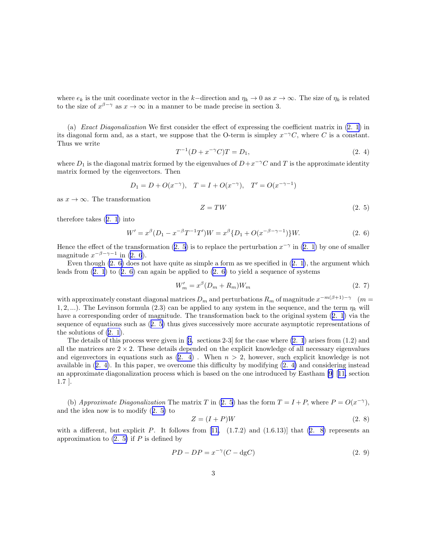<span id="page-2-0"></span>where  $e_k$  is the unit coordinate vector in the k–direction and  $\eta_k \to 0$  as  $x \to \infty$ . The size of  $\eta_k$  is related to the size of  $x^{\beta - \gamma}$  as  $x \to \infty$  in a manner to be made precise in section 3.

(a) Exact Diagonalization We first consider the effect of expressing the coefficient matrix in [\(2. 1](#page-1-0)) in its diagonal form and, as a start, we suppose that the O-term is simpley  $x^{-\gamma}C$ , where C is a constant. Thus we write

$$
T^{-1}(D + x^{-\gamma}C)T = D_1,
$$
\n(2. 4)

where  $D_1$  is the diagonal matrix formed by the eigenvalues of  $D+x^{-\gamma}C$  and T is the approximate identity matrix formed by the eigenvectors. Then

$$
D_1 = D + O(x^{-\gamma}), \quad T = I + O(x^{-\gamma}), \quad T' = O(x^{-\gamma - 1})
$$

as  $x \to \infty$ . The transformation

$$
Z = TW \tag{2.5}
$$

therefore takes([2. 1](#page-1-0)) into

$$
W' = x^{\beta} (D_1 - x^{-\beta} T^{-1} T') W = x^{\beta} \{D_1 + O(x^{-\beta - \gamma - 1})\} W.
$$
 (2. 6)

Hencethe effect of the transformation (2. 5) is to replace the perturbation  $x^{-\gamma}$  in ([2. 1\)](#page-1-0) by one of smaller magnitude  $x^{-\beta-\gamma-1}$  in (2. 6).

Eventhough  $(2, 6)$  does not have quite as simple a form as we specified in  $(2, 1)$ , the argument which leads from  $(2. 1)$  to  $(2. 6)$  can again be applied to  $(2. 6)$  to yield a sequence of systems

$$
W'_m = x^{\beta} (D_m + R_m) W_m \tag{2.7}
$$

with approximately constant diagonal matrices  $D_m$  and perturbations  $R_m$  of magnitude  $x^{-m(\beta+1)-\gamma}$  ( $m=$ 1, 2, ...). The Levinson formula (2.3) can be applied to any system in the sequence, and the term  $\eta_k$  will have a corresponding order of magnitude. The transformation back to the original system([2. 1](#page-1-0)) via the sequence of equations such as (2. 5) thus gives successively more accurate asymptotic representations of the solutions of([2. 1\)](#page-1-0).

The details of this process were given in[[3,](#page-25-0) sections 2-3] for the case where [\(2. 1](#page-1-0)) arises from (1.2) and all the matrices are  $2 \times 2$ . These details depended on the explicit knowledge of all necessary eigenvalues and eigenvectors in equations such as  $(2. 4)$ . When  $n > 2$ , however, such explicit knowledge is not available in (2. 4). In this paper, we overcome this difficulty by modifying (2. 4) and considering instead an approximate diagonalization process which is based on the one introduced by Eastham [\[9](#page-26-0)][[11,](#page-26-0) section 1.7 ].

(b) Approximate Diagonalization The matrix T in (2. 5) has the form  $T = I + P$ , where  $P = O(x^{-\gamma})$ , and the idea now is to modify (2. 5) to

$$
Z = (I + P)W\tag{2.8}
$$

witha different, but explicit P. It follows from  $[11, (1.7.2)$  $[11, (1.7.2)$  $[11, (1.7.2)$  and  $(1.6.13)]$  that  $(2. 8)$  represents an approximation to  $(2, 5)$  if P is defined by

$$
PD - DP = x^{-\gamma}(C - \text{dg}C) \tag{2.9}
$$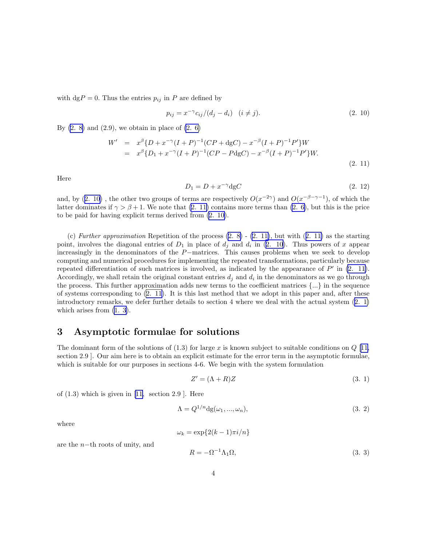<span id="page-3-0"></span>with  $\text{dg}P = 0$ . Thus the entries  $p_{ij}$  in P are defined by

$$
p_{ij} = x^{-\gamma} c_{ij} / (d_j - d_i) \quad (i \neq j).
$$
 (2. 10)

By  $(2. 8)$  and  $(2.9)$ , we obtain in place of  $(2. 6)$ 

$$
W' = x^{\beta} \{D + x^{-\gamma} (I + P)^{-1} (CP + \text{dg}C) - x^{-\beta} (I + P)^{-1} P' \} W
$$
  
=  $x^{\beta} \{D_1 + x^{-\gamma} (I + P)^{-1} (CP - P \text{dg}C) - x^{-\beta} (I + P)^{-1} P' \} W.$  (2. 11)

Here

$$
D_1 = D + x^{-\gamma} \text{dg}C \tag{2.12}
$$

and, by (2. 10), the other two groups of terms are respectively  $O(x^{-2\gamma})$  and  $O(x^{-\beta-\gamma-1})$ , of which the latter dominates if  $\gamma > \beta + 1$ . We note that (2. 11) contains more terms than [\(2. 6\)](#page-2-0), but this is the price to be paid for having explicit terms derived from (2. 10).

(c) Further approximation Repetition of the process  $(2, 8)$  -  $(2, 11)$ , but with  $(2, 11)$  as the starting point, involves the diagonal entries of  $D_1$  in place of  $d_j$  and  $d_i$  in (2. 10). Thus powers of x appear increasingly in the denominators of the P−matrices. This causes problems when we seek to develop computing and numerical procedures for implementing the repeated transformations, particularly because repeated differentiation of such matrices is involved, as indicated by the appearance of  $P'$  in (2. 11). Accordingly, we shall retain the original constant entries  $d_j$  and  $d_i$  in the denominators as we go through the process. This further approximation adds new terms to the coefficient matrices  $\{\ldots\}$  in the sequence of systems corresponding to (2. 11). It is this last method that we adopt in this paper and, after these introductory remarks, we defer further details to section 4 where we deal with the actual system([2. 1\)](#page-1-0) whicharises from  $(1, 3)$ .

# 3 Asymptotic formulae for solutions

The dominant form of the solutions of  $(1.3)$  for large x is known subject to suitable conditions on  $Q$  [[11,](#page-26-0) section 2.9 ]. Our aim here is to obtain an explicit estimate for the error term in the asymptotic formulae, which is suitable for our purposes in sections 4-6. We begin with the system formulation

$$
Z' = (\Lambda + R)Z \tag{3.1}
$$

of $(1.3)$  which is given in [[11,](#page-26-0) section 2.9]. Here

$$
\Lambda = Q^{1/n} \mathrm{dg}(\omega_1, \ldots, \omega_n),\tag{3.2}
$$

where

$$
\omega_k = \exp\{2(k-1)\pi i/n\}
$$

are the n−th roots of unity, and

$$
R = -\Omega^{-1} \Lambda_1 \Omega,\tag{3.3}
$$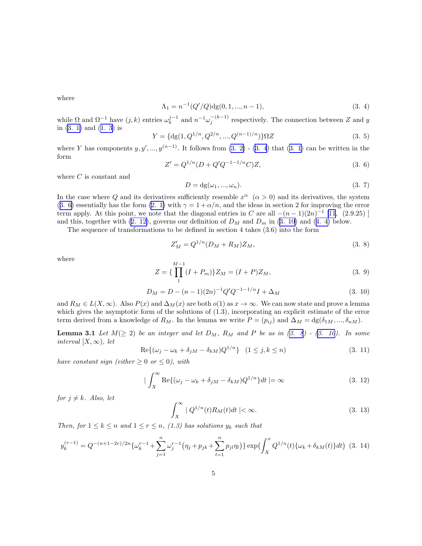<span id="page-4-0"></span>where

$$
\Lambda_1 = n^{-1}(Q'/Q) \text{dg}(0, 1, ..., n-1),\tag{3.4}
$$

while  $\Omega$  and  $\Omega^{-1}$  have  $(j, k)$  entries  $\omega_k^{j-1}$  and  $n^{-1} \omega_j^{-(k-1)}$  respectively. The connection between Z and y in [\(3. 1\)](#page-3-0) and([1. 3](#page-0-0)) is

$$
Y = \{ \mathrm{dg}(1, Q^{1/n}, Q^{2/n}, \dots, Q^{(n-1)/n}) \} \Omega Z \tag{3.5}
$$

where Y has components  $y, y', ..., y^{(n-1)}$ . It follows from  $(3, 2)$  -  $(3, 4)$  that  $(3, 1)$  can be written in the form

$$
Z' = Q^{1/n}(D + Q'Q^{-1-1/n}C)Z,
$$
\n(3. 6)

where  $C$  is constant and

$$
D = dg(\omega_1, ..., \omega_n). \tag{3.7}
$$

In the case where Q and its derivatives sufficiently resemble  $x^{\alpha}$  ( $\alpha > 0$ ) and its derivatives, the system (3. 6) essentially has the form [\(2. 1\)](#page-1-0) with  $\gamma = 1 + \alpha/n$ , and the ideas in section 2 for improving the error term apply. At this point, we note that the diagonal entries in C are all  $-(n-1)(2n)^{-1}$  [\[11](#page-26-0), (2.9.25)] andthis, together with  $(2. 12)$ , governs our definition of  $D_M$  and  $D_m$  in  $(3. 10)$  and  $(4. 4)$  $(4. 4)$  below.

The sequence of transformations to be defined in section 4 takes (3.6) into the form

$$
Z'_M = Q^{1/n}(D_M + R_M)Z_M, \t\t(3.8)
$$

where

$$
Z = \{\prod_{1}^{M-1} (I + P_m)\} Z_M = (I + P) Z_M, \tag{3.9}
$$

$$
D_M = D - (n-1)(2n)^{-1}Q'Q^{-1-1/n}I + \Delta_M
$$
\n(3. 10)

and  $R_M \in L(X,\infty)$ . Also  $P(x)$  and  $\Delta_M(x)$  are both  $o(1)$  as  $x \to \infty$ . We can now state and prove a lemma which gives the asymptotic form of the solutions of (1.3), incorporating an explicit estimate of the error term derived from a knowledge of  $R_M$ . In the lemma we write  $P = (p_{ij})$  and  $\Delta_M = \text{dg}(\delta_{1M},...,\delta_{nM})$ .

**Lemma 3.1** Let  $M(\geq 2)$  be an integer and let  $D_M$ ,  $R_M$  and P be as in  $(3. 8)$  -  $(3. 10)$ . In some interval  $[X,\infty)$ , let

$$
\operatorname{Re}\{(\omega_j - \omega_k + \delta_{jM} - \delta_{kM})Q^{1/n}\} \quad (1 \le j, k \le n)
$$
\n
$$
(3.11)
$$

have constant sign (either  $\geq 0$  or  $\leq 0$ ), with

$$
|\int_{X}^{\infty} \text{Re}\{(\omega_j - \omega_k + \delta_{jM} - \delta_{kM})Q^{1/n}\}dt| = \infty
$$
\n(3. 12)

for  $j \neq k$ . Also, let

$$
\int_{X}^{\infty} |Q^{1/n}(t)R_M(t)dt| < \infty.
$$
\n(3. 13)

Then, for  $1 \leq k \leq n$  and  $1 \leq r \leq n$ , (1.3) has solutions  $y_k$  such that

$$
y_k^{(r-1)} = Q^{-(n+1-2r)/2n} \{ \omega_k^{r-1} + \sum_{j=1}^n \omega_j^{r-1} \left( \eta_j + p_{jk} + \sum_{l=1}^n p_{jl} \eta_l \right) \} \exp \left( \int_X^x Q^{1/n}(t) \{ \omega_k + \delta_{kM}(t) \} dt \right) (3.14)
$$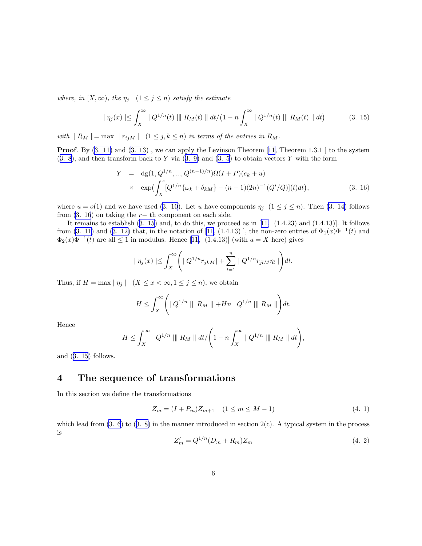<span id="page-5-0"></span>where, in  $[X,\infty)$ , the  $\eta_j$   $(1 \leq j \leq n)$  satisfy the estimate

$$
|\eta_j(x)| \leq \int_X^{\infty} |Q^{1/n}(t)| ||R_M(t)|| dt / (1 - n \int_X^{\infty} |Q^{1/n}(t)| ||R_M(t)|| dt)
$$
 (3. 15)

with  $\| R_M \| = \max | r_{ijM} | (1 \leq j, k \leq n)$  in terms of the entries in  $R_M$ .

**Proof.**By  $(3. 11)$  and  $(3. 13)$  $(3. 13)$  $(3. 13)$ , we can apply the Levinson Theorem [\[11](#page-26-0), Theorem 1.3.1] to the system  $(3. 8)$  $(3. 8)$ ,and then transform back to Y via  $(3. 9)$  $(3. 9)$  and  $(3. 5)$  to obtain vectors Y with the form

$$
Y = dg(1, Q^{1/n}, ..., Q^{(n-1)/n})\Omega(I+P)(e_k+u)
$$
  
 
$$
\times \exp\left(\int_X^x [Q^{1/n}\{\omega_k + \delta_{kM}\} - (n-1)(2n)^{-1}(Q'/Q)](t)dt\right),
$$
 (3. 16)

where $u = o(1)$  and we have used ([3. 10](#page-4-0)). Let u have components  $\eta_j$  ( $1 \le j \le n$ ). Then [\(3. 14\)](#page-4-0) follows from  $(3. 16)$  on taking the r− th component on each side.

Itremains to establish  $(3. 15)$  and, to do this, we proceed as in  $[11, (1.4.23)$  $[11, (1.4.23)$  $[11, (1.4.23)$  and  $(1.4.13)]$ . It follows from [\(3. 11\)](#page-4-0) and [\(3. 12\)](#page-4-0) that, in the notation of [\[11,](#page-26-0) (1.4.13)], the non-zero entries of  $\Phi_1(x)\Phi^{-1}(t)$  and  $\Phi_2(x)\Phi^{-1}(t)$ are all  $\leq 1$  in modulus. Hence [[11,](#page-26-0) (1.4.13)] (with  $a = X$  here) gives

$$
| \eta_j(x) | \leq \int_X^{\infty} \left( | Q^{1/n} r_{jkM} | + \sum_{l=1}^n | Q^{1/n} r_{jlM} \eta_l | \right) dt.
$$

Thus, if  $H = \max |\eta_j|$   $(X \le x < \infty, 1 \le j \le n)$ , we obtain

$$
H \leq \int_X^{\infty} \left( \mid Q^{1/n} \mid \mid \mid R_M \mid \mid + Hn \mid Q^{1/n} \mid \mid \mid R_M \mid \mid \right) dt.
$$

Hence

$$
H \leq \int_X^{\infty} |Q^{1/n}| ||R_M|| dt / \left(1 - n \int_X^{\infty} |Q^{1/n}| ||R_M|| dt\right),
$$

and (3. 15) follows.

# 4 The sequence of transformations

In this section we define the transformations

$$
Z_m = (I + P_m)Z_{m+1} \quad (1 \le m \le M - 1)
$$
\n(4. 1)

whichlead from  $(3. 6)$  to  $(3. 8)$  $(3. 8)$  in the manner introduced in section  $2(c)$ . A typical system in the process is

$$
Z'_m = Q^{1/n} (D_m + R_m) Z_m \tag{4.2}
$$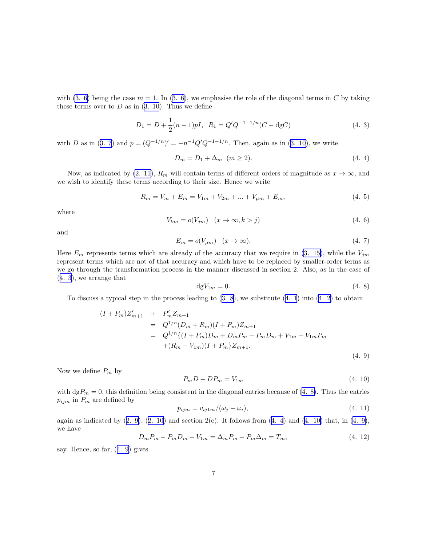<span id="page-6-0"></span>with [\(3. 6\)](#page-4-0) being the case  $m = 1$ . In [\(3. 6](#page-4-0)), we emphasise the role of the diagonal terms in C by taking these terms over to  $D$  as in  $(3, 10)$ . Thus we define

$$
D_1 = D + \frac{1}{2}(n-1)pI, \ R_1 = Q'Q^{-1-1/n}(C - \text{dg}C)
$$
\n(4. 3)

with D as in [\(3. 7](#page-4-0))and  $p = (Q^{-1/n})' = -n^{-1}Q'Q^{-1-1/n}$ . Then, again as in ([3. 10\)](#page-4-0), we write

$$
D_m = D_1 + \Delta_m \quad (m \ge 2). \tag{4.4}
$$

Now, as indicated by [\(2. 11\)](#page-3-0),  $R_m$  will contain terms of different orders of magnitude as  $x \to \infty$ , and we wish to identify these terms according to their size. Hence we write

$$
R_m = V_m + E_m = V_{1m} + V_{2m} + \dots + V_{\mu m} + E_m,
$$
\n(4.5)

where

$$
V_{km} = o(V_{jm}) \quad (x \to \infty, k > j)
$$
\n
$$
(4.6)
$$

and

$$
E_m = o(V_{\mu m}) \quad (x \to \infty). \tag{4.7}
$$

Here  $E_m$  represents terms which are already of the accuracy that we require in [\(3. 15\)](#page-5-0), while the  $V_{jm}$ represent terms which are not of that accuracy and which have to be replaced by smaller-order terms as we go through the transformation process in the manner discussed in section 2. Also, as in the case of (4. 3), we arrange that

$$
\mathrm{d}gV_{1m} = 0.\tag{4.8}
$$

Todiscuss a typical step in the process leading to  $(3, 8)$ , we substitute  $(4, 1)$  into  $(4, 2)$  to obtain

$$
(I + P_m)Z'_{m+1} + P'_m Z_{m+1}
$$
  
=  $Q^{1/n}(D_m + R_m)(I + P_m)Z_{m+1}$   
=  $Q^{1/n}\{(I + P_m)D_m + D_m P_m - P_m D_m + V_{1m} + V_{1m} P_m$   
+  $(R_m - V_{1m})(I + P_m)Z_{m+1}$ . (4. 9)

Now we define  $P_m$  by

$$
P_m D - D P_m = V_{1m} \tag{4.10}
$$

with  $\text{d}gP_m = 0$ , this definition being consistent in the diagonal entries because of (4. 8). Thus the entries  $p_{ijm}$  in  $\mathcal{P}_m$  are defined by

$$
p_{ijm} = v_{ij1m}/(\omega_j - \omega_i), \qquad (4.11)
$$

againas indicated by  $(2, 9)$ ,  $(2, 10)$  and section  $2(c)$ . It follows from  $(4, 4)$  and  $(4, 10)$  that, in  $(4, 9)$ , we have

$$
D_m P_m - P_m D_m + V_{1m} = \Delta_m P_m - P_m \Delta_m = T_m, \qquad (4.12)
$$

say. Hence, so far, (4. 9) gives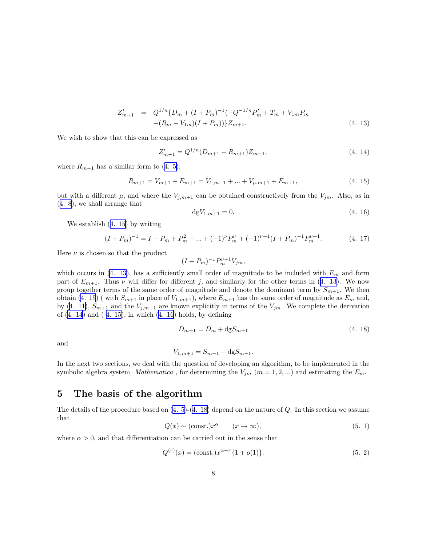$$
Z'_{m+1} = Q^{1/n} \{ D_m + (I + P_m)^{-1} (-Q^{-1/n} P'_m + T_m + V_{1m} P_m + (R_m - V_{1m})(I + P_m)) \} Z_{m+1}.
$$
\n(4. 13)

<span id="page-7-0"></span>We wish to show that this can be expressed as

$$
Z'_{m+1} = Q^{1/n} (D_{m+1} + R_{m+1}) Z_{m+1}, \tag{4.14}
$$

where $R_{m+1}$  has a similar form to ([4. 5\)](#page-6-0):

$$
R_{m+1} = V_{m+1} + E_{m+1} = V_{1,m+1} + \dots + V_{\mu,m+1} + E_{m+1},
$$
\n(4. 15)

but with a different  $\mu$ , and where the  $V_{j,m+1}$  can be obtained constructively from the  $V_{j,m}$ . Also, as in ([4. 8\)](#page-6-0), we shall arrange that

$$
dgV_{1,m+1} = 0.\t\t(4. 16)
$$

We establish (4. 15) by writing

$$
(I + P_m)^{-1} = I - P_m + P_m^2 - \dots + (-1)^{\nu} P_m^{\nu} + (-1)^{\nu+1} (I + P_m)^{-1} P_m^{\nu+1}.
$$
 (4. 17)

Here  $\nu$  is chosen so that the product

$$
(I + P_m)^{-1} P_m^{\nu+1} V_{jm},
$$

which occurs in (4. 13), has a sufficiently small order of magnitude to be included with  $E_m$  and form part of  $E_{m+1}$ . Thus  $\nu$  will differ for different j, and similarly for the other terms in (4. 13). We now group together terms of the same order of magnitude and denote the dominant term by  $S_{m+1}$ . We then obtain (4. 15) (with  $S_{m+1}$  in place of  $V_{1,m+1}$ ), where  $E_{m+1}$  has the same order of magnitude as  $E_m$  and, by([4. 11\)](#page-6-0),  $S_{m+1}$  and the  $V_{j,m+1}$  are known explicitly in terms of the  $V_{jm}$ . We complete the derivation of (4. 14) and ( 4. 15), in which (4. 16) holds, by defining

$$
D_{m+1} = D_m + \text{dg} S_{m+1} \tag{4.18}
$$

and

$$
V_{1,m+1} = S_{m+1} - \text{dg} S_{m+1}.
$$

In the next two sections, we deal with the question of developing an algorithm, to be implemented in the symbolic algebra system Mathematica, for determining the  $V_{jm}$  ( $m = 1, 2, ...$ ) and estimating the  $E_m$ .

# 5 The basis of the algorithm

Thedetails of the procedure based on  $(4.5)-(4.18)$  depend on the nature of Q. In this section we assume that

$$
Q(x) \sim (const.)x^{\alpha} \qquad (x \to \infty), \tag{5.1}
$$

where  $\alpha > 0$ , and that differentiation can be carried out in the sense that

$$
Q^{(r)}(x) = (\text{const.})x^{\alpha - r} \{1 + o(1)\}.
$$
\n(5. 2)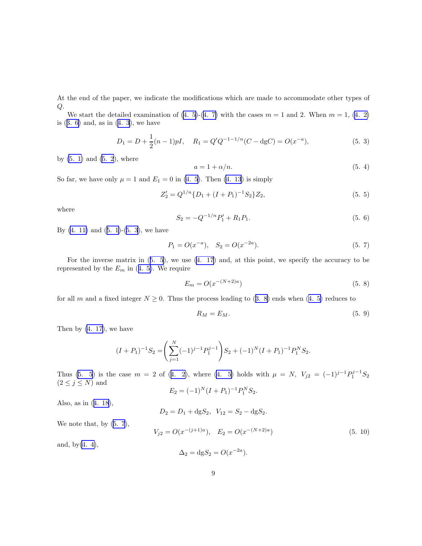<span id="page-8-0"></span>At the end of the paper, we indicate the modifications which are made to accommodate other types of  $Q$ .

Westart the detailed examination of  $(4. 5)-(4. 7)$  $(4. 5)-(4. 7)$  with the cases  $m = 1$  and 2. When  $m = 1$ ,  $(4. 2)$  $(4. 2)$ is $(3, 6)$  and, as in  $(4, 3)$ , we have

$$
D_1 = D + \frac{1}{2}(n-1)pI, \quad R_1 = Q'Q^{-1-1/n}(C - \text{dg}C) = O(x^{-a}),\tag{5.3}
$$

by  $(5. 1)$  and  $(5. 2)$ , where

$$
a = 1 + \alpha/n. \tag{5.4}
$$

So far, we have only  $\mu = 1$  and  $E_1 = 0$  in [\(4. 5](#page-6-0)). Then [\(4. 13](#page-7-0)) is simply

$$
Z_2' = Q^{1/n} \{ D_1 + (I + P_1)^{-1} S_2 \} Z_2,
$$
\n(5. 5)

where

$$
S_2 = -Q^{-1/n}P'_1 + R_1P_1.
$$
\n(5. 6)

By $(4. 11)$  and  $(5. 1)-(5. 3)$  $(5. 1)-(5. 3)$  $(5. 1)-(5. 3)$ , we have

$$
P_1 = O(x^{-a}), \quad S_2 = O(x^{-2a}).
$$
\n(5. 7)

For the inverse matrix in (5. 5), we use [\(4. 17](#page-7-0)) and, at this point, we specify the accuracy to be representedby the  $E_m$  in ([4. 5\)](#page-6-0). We require

$$
E_m = O(x^{-(N+2)a})
$$
\n(5. 8)

forall m and a fixed integer  $N \geq 0$ . Thus the process leading to ([3. 8\)](#page-4-0) ends when ([4. 5\)](#page-6-0) reduces to

$$
R_M = E_M. \tag{5.9}
$$

Then by [\(4. 17\)](#page-7-0), we have

$$
(I+P_1)^{-1}S_2 = \left(\sum_{j=1}^N (-1)^{j-1} P_1^{j-1}\right)S_2 + (-1)^N (I+P_1)^{-1} P_1^N S_2.
$$

Thus(5. 5) is the case  $m = 2$  of ([4. 2\)](#page-5-0), where [\(4. 5\)](#page-6-0) holds with  $\mu = N$ ,  $V_{j2} = (-1)^{j-1} P_1^{j-1} S_2$  $(2 \leq j \leq N)$  and

$$
E_2 = (-1)^N (I + P_1)^{-1} P_1^N S_2.
$$

Also, as in([4. 18](#page-7-0)),

$$
D_2 = D_1 + dgS_2, \ \ V_{12} = S_2 - dgS_2.
$$

We note that, by  $(5, 7)$ ,

$$
V_{j2} = O(x^{-(j+1)a}), \quad E_2 = O(x^{-(N+2)a})
$$
\n(5. 10)

and, by $(4. 4)$ ,

$$
\Delta_2 = \mathrm{dg} S_2 = O(x^{-2a}).
$$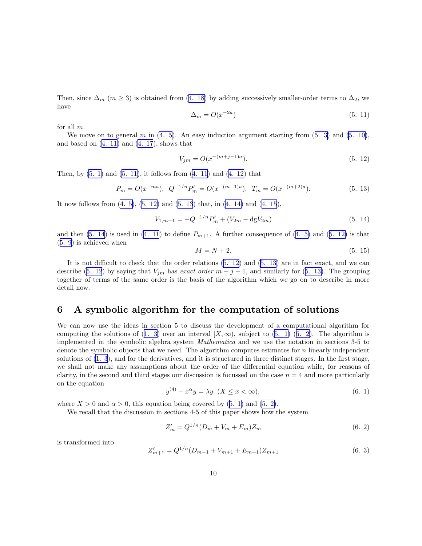<span id="page-9-0"></span>Then,since  $\Delta_m$  ( $m \geq 3$ ) is obtained from ([4. 18\)](#page-7-0) by adding successively smaller-order terms to  $\Delta_2$ , we have

$$
\Delta_m = O(x^{-2a})\tag{5.11}
$$

for all m.

Wemove on to general m in  $(4, 5)$ . An easy induction argument starting from  $(5, 3)$  and  $(5, 10)$ , andbased on  $(4. 11)$  $(4. 11)$  and  $(4. 17)$ , shows that

$$
V_{jm} = O(x^{-(m+j-1)a}).
$$
\n(5. 12)

Then,by  $(5, 1)$  and  $(5, 11)$ , it follows from  $(4, 11)$  and  $(4, 12)$  that

$$
P_m = O(x^{-ma}), \ Q^{-1/n} P'_m = O(x^{-(m+1)a}), \ T_m = O(x^{-(m+2)a}). \tag{5.13}
$$

It now follows from [\(4. 5\)](#page-6-0), (5. 12) and (5. 13) that, in [\(4. 14\)](#page-7-0) and([4. 15](#page-7-0)),

$$
V_{1,m+1} = -Q^{-1/n}P'_m + (V_{2m} - dgV_{2m})
$$
\n(5. 14)

andthen  $(5. 14)$  is used in  $(4. 11)$  to define  $P_{m+1}$ . A further consequence of  $(4. 5)$  $(4. 5)$  and  $(5. 12)$  is that ([5. 9\)](#page-8-0) is achieved when

$$
M = N + 2.\tag{5.15}
$$

It is not difficult to check that the order relations (5. 12) and (5. 13) are in fact exact, and we can describe (5. 12) by saying that  $V_{jm}$  has exact order  $m + j - 1$ , and similarly for (5. 13). The grouping together of terms of the same order is the basis of the algorithm which we go on to describe in more detail now.

#### 6 A symbolic algorithm for the computation of solutions

We can now use the ideas in section 5 to discuss the development of a computational algorithm for computing the solutions of [\(1. 3](#page-0-0)) over an interval  $[X,\infty)$ , subject to [\(5. 1\)](#page-7-0) ([5. 2](#page-7-0)). The algorithm is implemented in the symbolic algebra system Mathematica and we use the notation in sections 3-5 to denote the symbolic objects that we need. The algorithm computes estimates for n linearly independent solutions of [\(1. 3](#page-0-0)), and for the derivatives, and it is structured in three distinct stages. In the first stage, we shall not make any assumptions about the order of the differential equation while, for reasons of clarity, in the second and third stages our discussion is focussed on the case  $n = 4$  and more particularly on the equation

$$
y^{(4)} - x^{\alpha}y = \lambda y \quad (X \le x < \infty),\tag{6.1}
$$

where $X > 0$  and  $\alpha > 0$ , this equation being covered by ([5. 1\)](#page-7-0) and [\(5. 2\)](#page-7-0).

We recall that the discussion in sections 4-5 of this paper shows how the system

$$
Z'_m = Q^{1/n} (D_m + V_m + E_m) Z_m
$$
 (6. 2)

is transformed into

$$
Z'_{m+1} = Q^{1/n} (D_{m+1} + V_{m+1} + E_{m+1}) Z_{m+1}
$$
\n(6. 3)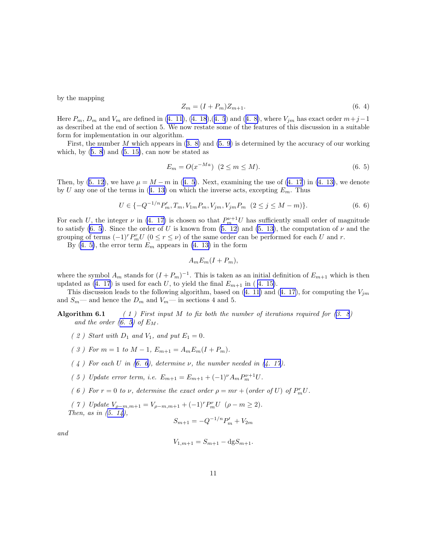<span id="page-10-0"></span>by the mapping

$$
Z_m = (I + P_m)Z_{m+1}.
$$
\n(6.4)

Here $P_m$ ,  $D_m$  and  $V_m$  are defined in ([4. 11\)](#page-6-0), [\(4. 18](#page-7-0)),([4. 5](#page-6-0)) and ([4. 8\)](#page-6-0), where  $V_{jm}$  has exact order  $m+j-1$ as described at the end of section 5. We now restate some of the features of this discussion in a suitable form for implementation in our algorithm.

First,the number  $M$  which appears in  $(3, 8)$  and  $(5, 9)$  is determined by the accuracy of our working which,by  $(5. 8)$  $(5. 8)$  $(5. 8)$  and  $(5. 15)$ , can now be stated as

$$
E_m = O(x^{-Ma}) \ (2 \le m \le M). \tag{6.5}
$$

Then,by ([5. 12\)](#page-9-0), we have  $\mu = M - m$  in ([4. 5\)](#page-6-0). Next, examining the use of [\(4. 17](#page-7-0)) in [\(4. 13\)](#page-7-0), we denote byU any one of the terms in  $(4, 13)$  on which the inverse acts, excepting  $E_m$ . Thus

$$
U \in \{-Q^{-1/n}P'_m, T_m, V_{1m}P_m, V_{jm}, V_{jm}P_m \ (2 \le j \le M-m)\}.
$$
 (6. 6)

For each U, the integer  $\nu$  in [\(4. 17\)](#page-7-0) is chosen so that  $P_m^{\nu+1}U$  has sufficiently small order of magnitude to satisfy (6. 5). Since the order of U is known from [\(5. 12\)](#page-9-0) and [\(5. 13\)](#page-9-0), the computation of  $\nu$  and the grouping of terms  $(-1)^r P_m^r U$   $(0 \le r \le \nu)$  of the same order can be performed for each U and r.

By [\(4. 5\)](#page-6-0), the error term  $E_m$  appears in [\(4. 13\)](#page-7-0) in the form

$$
A_m E_m (I + P_m),
$$

where the symbol  $A_m$  stands for  $(I + P_m)^{-1}$ . This is taken as an initial definition of  $E_{m+1}$  which is then updatedas  $(4. 17)$  $(4. 17)$  $(4. 17)$  is used for each U, to yield the final  $E_{m+1}$  in  $(4. 15)$ .

Thisdiscussion leads to the following algorithm, based on ([4. 11\)](#page-6-0) and ([4. 17\)](#page-7-0), for computing the  $V_{im}$ and  $S_m$ — and hence the  $D_m$  and  $V_m$ — in sections 4 and 5.

Algorithm6.1 (1) First input M to fix both the number of iterations required for  $(3.8)$ and the order  $(6. 5)$  of  $E_M$ .

- $(2)$  Start with  $D_1$  and  $V_1$ , and put  $E_1 = 0$ .
- ( 3 ) For  $m = 1$  to  $M 1$ ,  $E_{m+1} = A_m E_m (I + P_m)$ .
- $(4)$  For each U in (6. 6), determine v, the number needed in [\(4. 17\)](#page-7-0).
- ( 5 ) Update error term, i.e.  $E_{m+1} = E_{m+1} + (-1)^{\nu} A_m P_m^{\nu+1} U$ .
- (6) For  $r = 0$  to  $\nu$ , determine the exact order  $\rho = mr + (order\ of\ U)$  of  $P_m^r U$ .
- ( 7 ) Update  $V_{\rho-m,m+1} = V_{\rho-m,m+1} + (-1)^r P_m^r U \ (\rho m \ge 2).$ Then,as in  $(5. 14)$  $(5. 14)$ ,

$$
S_{m+1} = -Q^{-1/n}P'_m + V_{2m}
$$

and

$$
V_{1,m+1} = S_{m+1} - \text{dg} S_{m+1}.
$$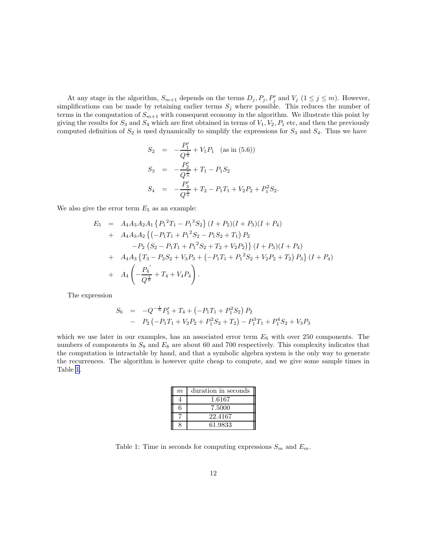<span id="page-11-0"></span>At any stage in the algorithm,  $S_{m+1}$  depends on the terms  $D_j$ ,  $P_j$ ,  $P'_j$  and  $V_j$   $(1 \leq j \leq m)$ . However, simplifications can be made by retaining earlier terms  $S_j$  where possible. This reduces the number of terms in the computation of  $S_{m+1}$  with consequent economy in the algorithm. We illustrate this point by giving the results for  $S_3$  and  $S_4$  which are first obtained in terms of  $V_1, V_2, P_1$  etc, and then the previously computed definition of  $S_2$  is used dynamically to simplify the expressions for  $S_3$  and  $S_4$ . Thus we have

$$
S_2 = -\frac{P'_1}{Q^{\frac{1}{n}}} + V_1 P_1 \quad \text{(as in (5.6))}
$$
\n
$$
S_3 = -\frac{P'_2}{Q^{\frac{1}{n}}} + T_1 - P_1 S_2
$$
\n
$$
S_4 = -\frac{P'_3}{Q^{\frac{1}{n}}} + T_2 - P_1 T_1 + V_2 P_2 + P_1^2 S_2.
$$

We also give the error term  $E_5$  as an example:

$$
E_5 = A_4 A_3 A_2 A_1 \{ P_1^2 T_1 - P_1^3 S_2 \} (I + P_2)(I + P_3)(I + P_4)
$$
  
+  $A_4 A_3 A_2 \{ (-P_1 T_1 + P_1^2 S_2 - P_1 S_2 + T_1) P_2$   
-  $P_2 (S_2 - P_1 T_1 + P_1^2 S_2 + T_2 + V_2 P_2) \} (I + P_3)(I + P_4)$   
+  $A_4 A_3 \{ T_3 - P_3 S_2 + V_3 P_3 + (-P_1 T_1 + P_1^2 S_2 + V_2 P_2 + T_2) P_3 \} (I + P_4)$   
+  $A_4 \left( -\frac{P_4'}{Q^{\frac{1}{n}}} + T_4 + V_4 P_4 \right).$ 

The expression

$$
S_6 = -Q^{-\frac{1}{n}}P'_5 + T_4 + (-P_1T_1 + P_1^2S_2) P_2
$$
  
- 
$$
P_2(-P_1T_1 + V_2P_2 + P_1^2S_2 + T_2) - P_1^3T_1 + P_1^4S_2 + V_3P_3
$$

which we use later in our examples, has an associated error term  $E_6$  with over 250 components. The numbers of components in  $S_8$  and  $E_8$  are about 60 and 700 respectively. This complexity indicates that the computation is intractable by hand, and that a symbolic algebra system is the only way to generate the recurrences. The algorithm is however quite cheap to compute, and we give some sample times in Table 1.

| $\boldsymbol{m}$ | duration in seconds |
|------------------|---------------------|
|                  | 1.6167              |
| 6                | 7.5000              |
|                  | 22.4167             |
|                  | 61.9833             |

Table 1: Time in seconds for computing expressions  $S_m$  and  $E_m$ .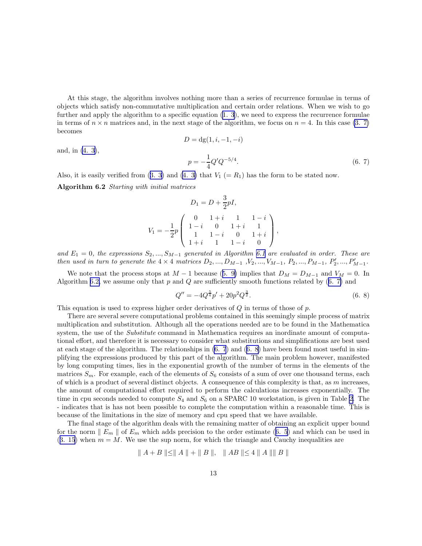<span id="page-12-0"></span>At this stage, the algorithm involves nothing more than a series of recurrence formulae in terms of objects which satisfy non-commutative multiplication and certain order relations. When we wish to go further and apply the algorithm to a specific equation  $(1, 3)$ , we need to express the recurrence formulae in terms of  $n \times n$  matrices and, in the next stage of the algorithm, we focus on  $n = 4$ . In this case [\(3. 7\)](#page-4-0) becomes  $D = dg(1, i, -1, -i)$ 

and, in [\(4. 3\)](#page-6-0),

$$
p = -\frac{1}{4}Q'Q^{-5/4}.
$$
\n(6. 7)

Also,it is easily verified from  $(3, 3)$  and  $(4, 3)$  that  $V_1 (= R_1)$  has the form to be stated now.

Algorithm 6.2 Starting with initial matrices

$$
D_1 = D + \frac{3}{2}pI,
$$
  
\n
$$
V_1 = -\frac{1}{2}p \begin{pmatrix} 0 & 1+i & 1 & 1-i \\ 1-i & 0 & 1+i & 1 \\ 1 & 1-i & 0 & 1+i \\ 1+i & 1 & 1-i & 0 \end{pmatrix},
$$

and  $E_1 = 0$ , the expressions  $S_2, ..., S_{M-1}$  generated in Algorithm [6.1](#page-10-0) are evaluated in order. These are then used in turn to generate the  $4 \times 4$  matrices  $D_2, ..., D_{M-1}$ ,  $V_2, ..., V_{M-1}$ ,  $P_2, ..., P_{M-1}$ ,  $P'_2, ..., P'_{M-1}$ .

Wenote that the process stops at  $M-1$  because ([5. 9\)](#page-8-0) implies that  $D_M = D_{M-1}$  and  $V_M = 0$ . In Algorithm6.2, we assume only that  $p$  and  $Q$  are sufficiently smooth functions related by  $(6, 7)$  and

$$
Q'' = -4Q^{\frac{5}{4}}p' + 20p^2Q^{\frac{3}{2}}.
$$
\n(6. 8)

This equation is used to express higher order derivatives of  $Q$  in terms of those of  $p$ .

There are several severe computational problems contained in this seemingly simple process of matrix multiplication and substitution. Although all the operations needed are to be found in the Mathematica system, the use of the *Substitute* command in Mathematica requires an inordinate amount of computational effort, and therefore it is necessary to consider what substitutions and simplifications are best used at each stage of the algorithm. The relationships in [\(6. 7](#page-11-0)) and (6. 8) have been found most useful in simplifying the expressions produced by this part of the algorithm. The main problem however, manifested by long computing times, lies in the exponential growth of the number of terms in the elements of the matrices  $S_m$ . For example, each of the elements of  $S_6$  consists of a sum of over one thousand terms, each of which is a product of several distinct objects. A consequence of this complexity is that, as  $m$  increases, the amount of computational effort required to perform the calculations increases exponentially. The time in cpu seconds needed to compute  $S_4$  and  $S_6$  on a SPARC 10 workstation, is given in Table [2](#page-13-0). The - indicates that is has not been possible to complete the computation within a reasonable time. This is because of the limitations in the size of memory and cpu speed that we have available.

The final stage of the algorithm deals with the remaining matter of obtaining an explicit upper bound forthe norm  $\|E_m\|$  of  $E_m$  which adds precision to the order estimate ([6. 5](#page-10-0)) and which can be used in  $(3. 15)$  $(3. 15)$  when  $m = M$ . We use the sup norm, for which the triangle and Cauchy inequalities are

$$
\parallel A + B \parallel \leq \parallel A \parallel + \parallel B \parallel, \quad \parallel AB \parallel \leq 4 \parallel A \parallel \parallel B \parallel
$$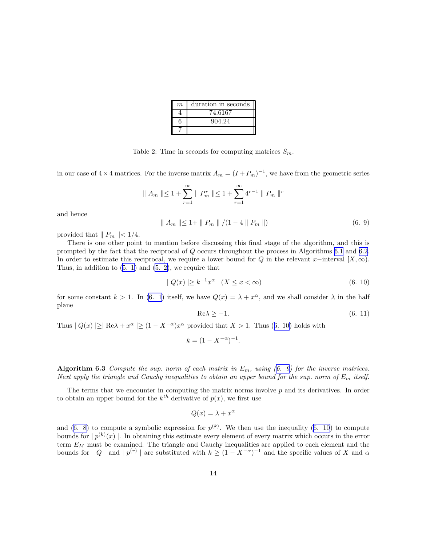| m | duration in seconds |
|---|---------------------|
|   | 74.6167             |
| 6 | 904.24              |
|   |                     |

Table 2: Time in seconds for computing matrices  $S_m$ .

<span id="page-13-0"></span>in our case of  $4 \times 4$  matrices. For the inverse matrix  $A_m = (I + P_m)^{-1}$ , we have from the geometric series

$$
|| A_m || \le 1 + \sum_{r=1}^{\infty} || P_m^r || \le 1 + \sum_{r=1}^{\infty} 4^{r-1} || P_m ||^r
$$

and hence

$$
\| A_m \| \le 1 + \| P_m \| / (1 - 4 \| P_m \|)
$$
 (6. 9)

provided that  $\| P_m \| < 1/4$ .

There is one other point to mention before discussing this final stage of the algorithm, and this is prompted by the fact that the reciprocal of Q occurs throughout the process in Algorithms [6.1](#page-10-0) and [6.2.](#page-12-0) In order to estimate this reciprocal, we require a lower bound for Q in the relevant x–interval [X,  $\infty$ ). Thus,in addition to  $(5. 1)$  $(5. 1)$  and  $(5. 2)$ , we require that

$$
|Q(x)| \ge k^{-1} x^{\alpha} \quad (X \le x < \infty) \tag{6.10}
$$

for some constant  $k > 1$ . In [\(6. 1\)](#page-9-0) itself, we have  $Q(x) = \lambda + x^{\alpha}$ , and we shall consider  $\lambda$  in the half plane

$$
\text{Re}\lambda \ge -1. \tag{6.11}
$$

Thus  $|Q(x)| \geq |Re \lambda + x^{\alpha}| \geq (1 - X^{-\alpha})x^{\alpha}$  provided that  $X > 1$ . Thus (6. 10) holds with

$$
k = (1 - X^{-\alpha})^{-1}.
$$

Algorithm 6.3 Compute the sup. norm of each matrix in  $E_m$ , using (6. 9) for the inverse matrices. Next apply the triangle and Cauchy inequalities to obtain an upper bound for the sup. norm of  $E_m$  itself.

The terms that we encounter in computing the matrix norms involve  $p$  and its derivatives. In order to obtain an upper bound for the  $k^{th}$  derivative of  $p(x)$ , we first use

$$
Q(x) = \lambda + x^{\alpha}
$$

and([6. 8\)](#page-12-0) to compute a symbolic expression for  $p^{(k)}$ . We then use the inequality (6. 10) to compute bounds for  $p^{(k)}(x)$ . In obtaining this estimate every element of every matrix which occurs in the error term  $E_M$  must be examined. The triangle and Cauchy inequalities are applied to each element and the bounds for  $|Q|$  and  $|p^{(r)}|$  are substituted with  $k \geq (1 - X^{-\alpha})^{-1}$  and the specific values of X and  $\alpha$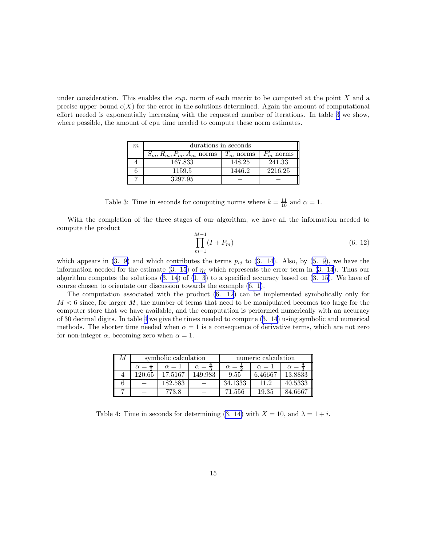<span id="page-14-0"></span>under consideration. This enables the *sup*. norm of each matrix to be computed at the point  $X$  and a precise upper bound  $\epsilon(X)$  for the error in the solutions determined. Again the amount of computational effort needed is exponentially increasing with the requested number of iterations. In table 3 we show, where possible, the amount of cpu time needed to compute these norm estimates.

| $m_{\rm c}$ | durations in seconds       |             |         |  |
|-------------|----------------------------|-------------|---------|--|
|             | $S_m, R_m, P_m, A_m$ norms | $T_m$ norms | norms   |  |
|             | 167.833                    | 148.25      | 241.33  |  |
|             | 1159.5                     | 1446.2      | 2216.25 |  |
|             | 3297.95                    |             |         |  |

Table 3: Time in seconds for computing norms where  $k = \frac{11}{10}$  and  $\alpha = 1$ .

With the completion of the three stages of our algorithm, we have all the information needed to compute the product

$$
\prod_{m=1}^{M-1} (I + P_m) \tag{6.12}
$$

which appears in [\(3. 9\)](#page-4-0)and which contributes the terms  $p_{ij}$  to ([3. 14\)](#page-4-0). Also, by ([5. 9](#page-8-0)), we have the informationneeded for the estimate ([3. 15](#page-5-0)) of  $\eta_i$  which represents the error term in [\(3. 14](#page-4-0)). Thus our algorithmcomputes the solutions  $(3. 14)$  $(3. 14)$  $(3. 14)$  of  $(1. 3)$  $(1. 3)$  to a specified accuracy based on  $(3. 15)$  $(3. 15)$ . We have of course chosen to orientate our discussion towards the example([6. 1\)](#page-9-0).

The computation associated with the product (6. 12) can be implemented symbolically only for  $M < 6$  since, for larger M, the number of terms that need to be manipulated becomes too large for the computer store that we have available, and the computation is performed numerically with an accuracy of 30 decimal digits. In table 4 we give the times needed to compute([3. 14\)](#page-4-0) using symbolic and numerical methods. The shorter time needed when  $\alpha = 1$  is a consequence of derivative terms, which are not zero for non-integer  $\alpha$ , becoming zero when  $\alpha = 1$ .

| symbolic calculation   |              | numeric calculation    |                        |              |            |
|------------------------|--------------|------------------------|------------------------|--------------|------------|
| $\alpha = \frac{1}{2}$ | $\alpha = 1$ | $\alpha = \frac{1}{2}$ | $\alpha = \frac{1}{2}$ | $\alpha = 1$ | $\alpha =$ |
| 120.65                 | 17.5167      | 149.983                | 9.55                   | 6.46667      | 13.8833    |
|                        | 182.583      |                        | 34.1333                | 11.2         | 40.5333    |
|                        | 773.8        |                        | 71.556                 | 19.35        | 84.6667    |

Table 4: Time in seconds for determining [\(3. 14\)](#page-4-0) with  $X = 10$ , and  $\lambda = 1 + i$ .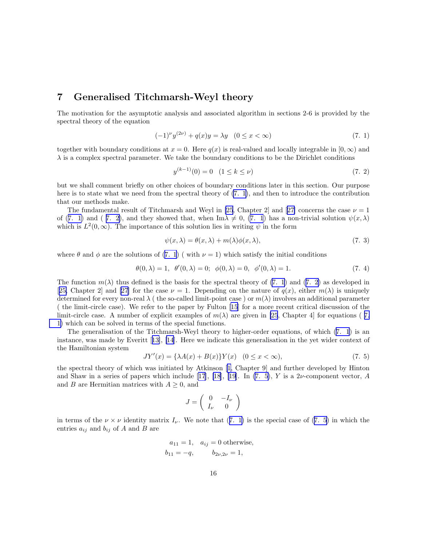#### <span id="page-15-0"></span>7 Generalised Titchmarsh-Weyl theory

The motivation for the asymptotic analysis and associated algorithm in sections 2-6 is provided by the spectral theory of the equation

$$
(-1)^{\nu} y^{(2\nu)} + q(x) y = \lambda y \quad (0 \le x < \infty)
$$
\n(7. 1)

together with boundary conditions at  $x = 0$ . Here  $q(x)$  is real-valued and locally integrable in  $[0, \infty)$  and  $\lambda$  is a complex spectral parameter. We take the boundary conditions to be the Dirichlet conditions

$$
y^{(k-1)}(0) = 0 \quad (1 \le k \le \nu) \tag{7.2}
$$

but we shall comment briefly on other choices of boundary conditions later in this section. Our purpose here is to state what we need from the spectral theory of (7. 1), and then to introduce the contribution that our methods make.

The fundamental result of Titchmarsh and Weyl in [\[25](#page-27-0),Chapter 2] and [[27\]](#page-27-0) concerns the case  $\nu = 1$ of (7. 1) and ( 7. 2), and they showed that, when Im $\lambda \neq 0$ , (7. 1) has a non-trivial solution  $\psi(x, \lambda)$ which is  $L^2(0,\infty)$ . The importance of this solution lies in writing  $\psi$  in the form

$$
\psi(x,\lambda) = \theta(x,\lambda) + m(\lambda)\phi(x,\lambda),\tag{7.3}
$$

where  $\theta$  and  $\phi$  are the solutions of (7. 1) ( with  $\nu = 1$ ) which satisfy the initial conditions

$$
\theta(0,\lambda) = 1, \ \theta'(0,\lambda) = 0; \ \phi(0,\lambda) = 0, \ \phi'(0,\lambda) = 1.
$$
 (7. 4)

The function  $m(\lambda)$  thus defined is the basis for the spectral theory of (7. 1) and (7. 2) as developed in [[25,](#page-27-0)Chapter 2] and [[27\]](#page-27-0) for the case  $\nu = 1$ . Depending on the nature of  $q(x)$ , either  $m(\lambda)$  is uniquely determined for every non-real  $\lambda$  ( the so-called limit-point case ) or  $m(\lambda)$  involves an additional parameter ( the limit-circle case). We refer to the paper by Fulton [\[15\]](#page-26-0) for a more recent critical discussion of the limit-circle case. A number of explicit examples of  $m(\lambda)$  are given in [\[25](#page-27-0), Chapter 4] for equations (7. 1) which can be solved in terms of the special functions.

The generalisation of the Titchmarsh-Weyl theory to higher-order equations, of which (7. 1) is an instance, was made by Everitt[[13\]](#page-26-0), [\[14](#page-26-0)]. Here we indicate this generalisation in the yet wider context of the Hamiltonian system

$$
JY'(x) = {\lambda A(x) + B(x)}Y(x) \quad (0 \le x < \infty),
$$
\n(7. 5)

the spectral theory of which was initiated by Atkinson[[1,](#page-25-0) Chapter 9] and further developed by Hinton andShaw in a series of papers which include [[17\]](#page-26-0), [\[18](#page-26-0)], [\[19](#page-26-0)]. In (7. 5), Y is a  $2\nu$ -component vector, A and B are Hermitian matrices with  $A \geq 0$ , and

$$
J = \left(\begin{array}{cc} 0 & -I_{\nu} \\ I_{\nu} & 0 \end{array}\right)
$$

in terms of the  $\nu \times \nu$  identity matrix  $I_{\nu}$ . We note that (7. 1) is the special case of (7. 5) in which the entries  $a_{ij}$  and  $b_{ij}$  of A and B are

$$
a_{11} = 1
$$
,  $a_{ij} = 0$  otherwise,  
 $b_{11} = -q$ ,  $b_{2\nu,2\nu} = 1$ ,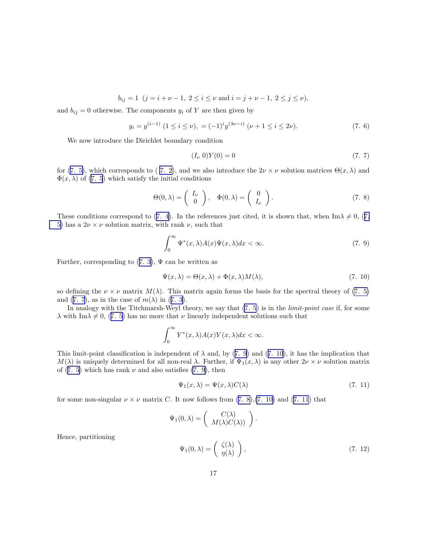$$
b_{ij} = 1
$$
  $(j = i + \nu - 1, 2 \le i \le \nu \text{ and } i = j + \nu - 1, 2 \le j \le \nu),$ 

<span id="page-16-0"></span>and  $b_{ij} = 0$  otherwise. The components  $y_i$  of Y are then given by

$$
y_i = y^{(i-1)} \ (1 \le i \le \nu), \ = (-1)^i y^{(3\nu - i)} \ (\nu + 1 \le i \le 2\nu). \tag{7.6}
$$

We now introduce the Dirichlet boundary condition

$$
(I_{\nu} 0)Y(0) = 0 \t\t(7.7)
$$

for [\(7. 5\)](#page-15-0), which corresponds to (7. 2), and we also introduce the  $2\nu \times \nu$  solution matrices  $\Theta(x, \lambda)$  and  $\Phi(x, \lambda)$  of [\(7. 5](#page-15-0)) which satisfy the initial conditions

$$
\Theta(0,\lambda) = \begin{pmatrix} I_{\nu} \\ 0 \end{pmatrix}, \quad \Phi(0,\lambda) = \begin{pmatrix} 0 \\ I_{\nu} \end{pmatrix}.
$$
 (7. 8)

Theseconditions correspond to ([7. 4\)](#page-15-0). In the references just cited, it is shown that, when Im $\lambda \neq 0$ , ([7.](#page-15-0) [5\)](#page-15-0) has a  $2\nu \times \nu$  solution matrix, with rank  $\nu$ , such that

$$
\int_0^\infty \Psi^*(x,\lambda)A(x)\Psi(x,\lambda)dx < \infty.
$$
 (7. 9)

Further,corresponding to  $(7, 3)$ ,  $\Psi$  can be written as

$$
\Psi(x,\lambda) = \Theta(x,\lambda) + \Phi(x,\lambda)M(\lambda),\tag{7.10}
$$

so defining the  $\nu \times \nu$  matrix  $M(\lambda)$ . This matrix again forms the basis for the spectral theory of [\(7.](#page-15-0) 5) and(7. 7), as in the case of  $m(\lambda)$  in ([7. 3\)](#page-15-0).

In analogy with the Titchmarsh-Weyl theory, we say that  $(7.5)$  is in the *limit-point case* if, for some  $\lambda$ with Im $\lambda \neq 0$ , ([7. 5\)](#page-15-0) has no more that  $\nu$  linearly independent solutions such that

$$
\int_0^\infty Y^*(x,\lambda)A(x)Y(x,\lambda)dx < \infty.
$$

This limit-point classification is independent of  $\lambda$  and, by (7. 9) and (7. 10), it has the implication that  $M(\lambda)$  is uniquely determined for all non-real  $\lambda$ . Further, if  $\Psi_1(x,\lambda)$  is any other  $2\nu \times \nu$  solution matrix of  $(7, 5)$  which has rank  $\nu$  and also satisfies  $(7, 9)$ , then

$$
\Psi_1(x,\lambda) = \Psi(x,\lambda)C(\lambda) \tag{7.11}
$$

for some non-singular  $\nu \times \nu$  matrix C. It now follows from (7. 8), (7. 10) and (7. 11) that

$$
\Psi_1(0,\lambda) = \begin{pmatrix} C(\lambda) \\ M(\lambda)C(\lambda) \end{pmatrix}.
$$

$$
\Psi_1(0,\lambda) = \begin{pmatrix} \zeta(\lambda) \\ \eta(\lambda) \end{pmatrix},
$$
(7. 12)

Hence, partitioning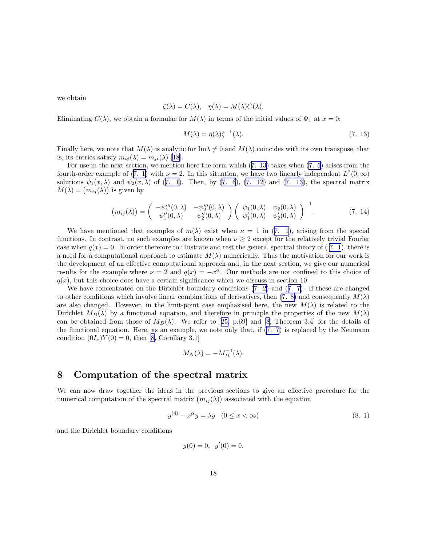<span id="page-17-0"></span>we obtain

$$
\zeta(\lambda) = C(\lambda), \quad \eta(\lambda) = M(\lambda)C(\lambda).
$$

Eliminating  $C(\lambda)$ , we obtain a formulae for  $M(\lambda)$  in terms of the initial values of  $\Psi_1$  at  $x=0$ :

$$
M(\lambda) = \eta(\lambda)\zeta^{-1}(\lambda). \tag{7.13}
$$

Finally here, we note that  $M(\lambda)$  is analytic for Im $\lambda \neq 0$  and  $M(\lambda)$  coincides with its own transpose, that is,its entries satisfy  $m_{ij}(\lambda) = m_{ji}(\lambda)$  [[18\]](#page-26-0).

For use in the next section, we mention here the form which (7. 13) takes when [\(7. 5](#page-15-0)) arises from the fourth-orderexample of ([7. 1\)](#page-15-0) with  $\nu = 2$ . In this situation, we have two linearly independent  $L^2(0, \infty)$ solutions $\psi_1(x,\lambda)$  and  $\psi_2(x,\lambda)$  of ([7. 1\)](#page-15-0). Then, by [\(7. 6](#page-16-0)), [\(7. 12](#page-16-0)) and (7. 13), the spectral matrix  $M(\lambda) = (m_{ij}(\lambda))$  is given by

$$
(m_{ij}(\lambda)) = \begin{pmatrix} -\psi_1'''(0,\lambda) & -\psi_2'''(0,\lambda) \\ \psi_1''(0,\lambda) & \psi_2''(0,\lambda) \end{pmatrix} \begin{pmatrix} \psi_1(0,\lambda) & \psi_2(0,\lambda) \\ \psi_1'(0,\lambda) & \psi_2'(0,\lambda) \end{pmatrix}^{-1}.
$$
 (7. 14)

We have mentioned that examples of  $m(\lambda)$  exist when  $\nu = 1$  in [\(7. 1](#page-15-0)), arising from the special functions. In contrast, no such examples are known when  $\nu \geq 2$  except for the relatively trivial Fourier case when  $q(x) = 0$ . In order therefore to illustrate and test the general spectral theory of (7. 1), there is a need for a computational approach to estimate  $M(\lambda)$  numerically. Thus the motivation for our work is the development of an effective computational approach and, in the next section, we give our numerical results for the example where  $\nu = 2$  and  $q(x) = -x^{\alpha}$ . Our methods are not confined to this choice of  $q(x)$ , but this choice does have a certain significance which we discuss in section 10.

We have concentrated on the Dirichlet boundary conditions [\(7. 2\)](#page-15-0) and([7. 7\)](#page-16-0). If these are changed to other conditions which involve linear combinations of derivatives, then [\(7. 8\)](#page-16-0) and consequently  $M(\lambda)$ are also changed. However, in the limit-point case emphasised here, the new  $M(\lambda)$  is related to the Dirichlet  $M_D(\lambda)$  by a functional equation, and therefore in principle the properties of the new  $M(\lambda)$ canbe obtained from those of  $M_D(\lambda)$ . We refer to [[25,](#page-27-0) p.69] and [\[8](#page-26-0), Theorem 3.4] for the details of the functional equation. Here, as an example, we note only that, if ([7. 7](#page-16-0)) is replaced by the Neumann condition  $(0I_\nu)Y(0) = 0$ , then [\[8](#page-26-0), Corollary 3.1]

$$
M_N(\lambda) = -M_D^{-1}(\lambda).
$$

#### 8 Computation of the spectral matrix

We can now draw together the ideas in the previous sections to give an effective procedure for the numerical computation of the spectral matrix  $(m_{ij}(\lambda))$  associated with the equation

$$
y^{(4)} - x^{\alpha}y = \lambda y \quad (0 \le x < \infty) \tag{8.1}
$$

and the Dirichlet boundary conditions

$$
y(0) = 0, \ \ y'(0) = 0.
$$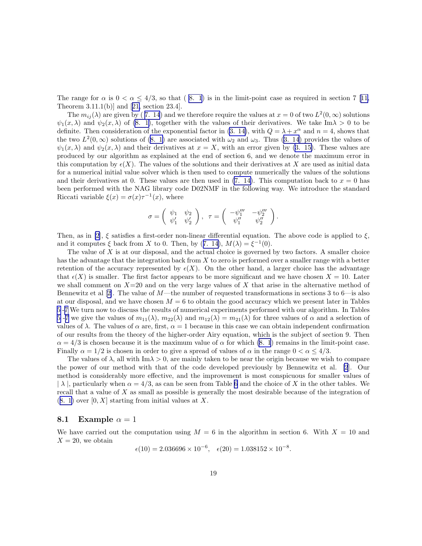Therange for  $\alpha$  is  $0 < \alpha \leq 4/3$ , so that  $(8, 1)$  is in the limit-point case as required in section 7 [[11,](#page-26-0) Theorem 3.11.1(b)] and[[21,](#page-26-0) section 23.4].

The  $m_{ij}(\lambda)$  are given by (7. 14) and we therefore require the values at  $x = 0$  of two  $L^2(0, \infty)$  solutions  $\psi_1(x,\lambda)$  and  $\psi_2(x,\lambda)$  of [\(8. 1\)](#page-17-0), together with the values of their derivatives. We take Im $\lambda > 0$  to be definite. Then consideration of the exponential factor in [\(3. 14\)](#page-4-0), with  $Q = \lambda + x^{\alpha}$  and  $n = 4$ , shows that thetwo  $L^2(0,\infty)$  solutions of  $(8, 1)$  are associated with  $\omega_2$  and  $\omega_3$ . Thus  $(3, 14)$  provides the values of  $\psi_1(x, \lambda)$  and  $\psi_2(x, \lambda)$  and their derivatives at  $x = X$ , with an error given by [\(3. 15\)](#page-5-0). These values are produced by our algorithm as explained at the end of section 6, and we denote the maximum error in this computation by  $\epsilon(X)$ . The values of the solutions and their derivatives at X are used as initial data for a numerical initial value solver which is then used to compute numerically the values of the solutions and their derivatives at 0. These values are then used in  $(7, 14)$ . This computation back to  $x = 0$  has been performed with the NAG library code D02NMF in the following way. We introduce the standard Riccati variable  $\xi(x) = \sigma(x)\tau^{-1}(x)$ , where

$$
\sigma=\left(\begin{array}{cc}\psi_1&\psi_2\\ \psi'_1&\psi'_2\end{array}\right),\;\;\tau=\left(\begin{array}{cc}-\psi_1'''&-\psi_2'''\\ \psi_1''&\psi_2''\end{array}\right).
$$

Then, as in [\[2](#page-25-0)],  $\xi$  satisfies a first-order non-linear differential equation. The above code is applied to  $\xi$ , andit computes  $\xi$  back from X to 0. Then, by ([7. 14\)](#page-17-0),  $M(\lambda) = \xi^{-1}(0)$ .

The value of  $X$  is at our disposal, and the actual choice is governed by two factors. A smaller choice has the advantage that the integration back from X to zero is performed over a smaller range with a better retention of the accuracy represented by  $\epsilon(X)$ . On the other hand, a larger choice has the advantage that  $\epsilon(X)$  is smaller. The first factor appears to be more significant and we have chosen  $X = 10$ . Later we shall comment on  $X=20$  and on the very large values of X that arise in the alternative method of Bennewitzet al  $[2]$  $[2]$ . The value of M—the number of requested transformations in sections 3 to 6—is also at our disposal, and we have chosen  $M = 6$  to obtain the good accuracy which we present later in Tables [5](#page-19-0)-[7](#page-21-0) We turn now to discuss the results of numerical experiments performed with our algorithm. In Tables [5](#page-19-0)-[7](#page-21-0) we give the values of  $m_{11}(\lambda)$ ,  $m_{22}(\lambda)$  and  $m_{12}(\lambda) = m_{21}(\lambda)$  for three values of  $\alpha$  and a selection of values of  $\lambda$ . The values of  $\alpha$  are, first,  $\alpha = 1$  because in this case we can obtain independent confirmation of our results from the theory of the higher-order Airy equation, which is the subject of section 9. Then  $\alpha = 4/3$  is chosen because it is the maximum value of  $\alpha$  for which [\(8. 1](#page-17-0)) remains in the limit-point case. Finally  $\alpha = 1/2$  is chosen in order to give a spread of values of  $\alpha$  in the range  $0 < \alpha < 4/3$ .

The values of  $\lambda$ , all with Im $\lambda > 0$ , are mainly taken to be near the origin because we wish to compare the power of our method with that of the code developed previously by Bennewitz et al. [\[2](#page-25-0)]. Our method is considerably more effective, and the improvement is most conspicuous for smaller values of  $|\lambda|$ , particularly when  $\alpha = 4/3$ , as can be seen from Table [6](#page-20-0) and the choice of X in the other tables. We recall that a value of X as small as possible is generally the most desirable because of the integration of  $(8. 1)$  $(8. 1)$  over  $[0, X]$  starting from initial values at X.

#### 8.1 Example  $\alpha = 1$

We have carried out the computation using  $M = 6$  in the algorithm in section 6. With  $X = 10$  and  $X = 20$ , we obtain

$$
\epsilon(10) = 2.036696 \times 10^{-6}, \quad \epsilon(20) = 1.038152 \times 10^{-8}.
$$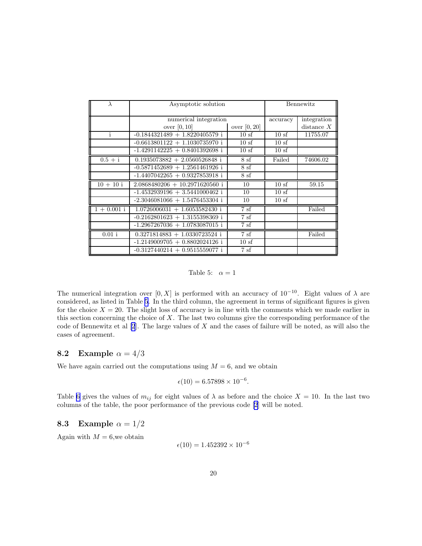<span id="page-19-0"></span>

| $\lambda$     | Asymptotic solution              |                |          | Bennewitz    |
|---------------|----------------------------------|----------------|----------|--------------|
|               |                                  |                |          |              |
|               | numerical integration            |                | accuracy | integration  |
|               | over $[0, 10]$                   | over $[0, 20]$ |          | distance $X$ |
| i             | $-0.1844321489 + 1.8220405579$ i | 10sf           | 10sf     | 11755.07     |
|               | $-0.6613801122 + 1.1030735970$ i | 10sf           | 10sf     |              |
|               | $-1.4291142225 + 0.8401392698$ i | 10sf           | 10sf     |              |
| $0.5 + i$     | $0.1935073882 + 2.0560526848$ i  | 8sf            | Failed   | 74606.02     |
|               | $-0.5871452689 + 1.2561461926$ i | 8sf            |          |              |
|               | $-1.4407042265 + 0.9327853918$ i | 8sf            |          |              |
| $10 + 10i$    | $2.0868480206 + 10.2971620560$ i | 10             | 10sf     | 59.15        |
|               | $-1.4532939196 + 3.5441000462$ i | 10             | 10sf     |              |
|               | $-2.3046081066 + 1.5476453304$ i | 10             | 10sf     |              |
| $1 + 0.001$ i | $1.0726006031 + 1.6053582430$ i  | 7sf            |          | Failed       |
|               | $-0.2162801623 + 1.3155398369$ i | 7sf            |          |              |
|               | $-1.2967267036 + 1.0783087015$ i | 7sf            |          |              |
| $0.01$ i      | $0.3271814883 + 1.0330723524$ i  | 7sf            |          | Failed       |
|               | $-1.2149009705 + 0.8802024126$ i | 10sf           |          |              |
|               | $-0.3127440214 + 0.9515559077$ i | 7sf            |          |              |

Table 5:  $\alpha = 1$ 

The numerical integration over [0, X] is performed with an accuracy of 10<sup>-10</sup>. Eight values of  $\lambda$  are considered, as listed in Table 5. In the third column, the agreement in terms of significant figures is given for the choice  $X = 20$ . The slight loss of accuracy is in line with the comments which we made earlier in this section concerning the choice of X. The last two columns give the corresponding performance of the code of Bennewitz et al [\[2](#page-25-0)]. The large values of X and the cases of failure will be noted, as will also the cases of agreement.

#### **8.2** Example  $\alpha = 4/3$

We have again carried out the computations using  $M = 6$ , and we obtain

$$
\epsilon(10) = 6.57898 \times 10^{-6}.
$$

Table [6](#page-20-0) gives the values of  $m_{ij}$  for eight values of  $\lambda$  as before and the choice  $X = 10$ . In the last two columns of the table, the poor performance of the previous code [\[2](#page-25-0)] will be noted.

#### 8.3 Example  $\alpha = 1/2$

Again with  $M = 6$ , we obtain

$$
\epsilon(10) = 1.452392 \times 10^{-6}
$$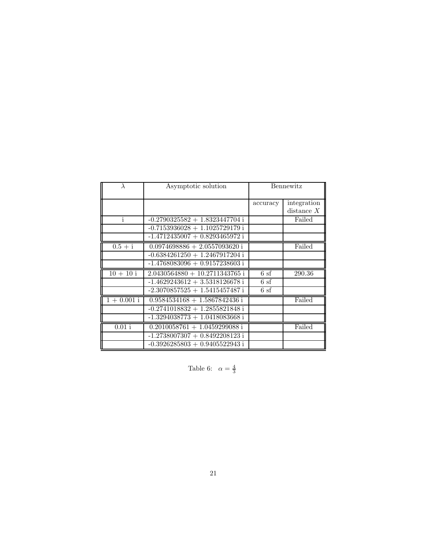<span id="page-20-0"></span>

|                        | Asymptotic solution                        | Bennewitz |             |
|------------------------|--------------------------------------------|-----------|-------------|
|                        |                                            | accuracy  | integration |
|                        |                                            |           | distance X  |
| i                      | $-0.2790325582 + 1.8323447704$ i           |           | Failed      |
|                        | $-0.7153936028 + 1.1025729179$ i           |           |             |
|                        | $-1.4712435007 + 0.8293465972$ i           |           |             |
| $0.5 + i$              | $0.0974698886 + 2.0557093620$ i            |           | Failed      |
|                        | $-0.6384261250 + 1.2467917204$ i           |           |             |
|                        | $-1.4768083096 + 0.9157238603$ i           |           |             |
| $10 + 10i$             | $2.0430564880 + 10.2711343765$ i           | 6sf       | 290.36      |
|                        | $-1.4629243612 + 3.5318126678$ i           | 6sf       |             |
|                        | $-2.3070857525 + 1.5415457487$ i           | 6sf       |             |
| $\frac{1 + 0.001i}{1}$ | $0.95845\overline{34168} + 1.5867842436$ i |           | Failed      |
|                        | $-0.2741018832 + 1.2855821848$ i           |           |             |
|                        | $-1.3294038773 + 1.0418083668$ i           |           |             |
| $0.01$ i               | $0.2010058761 + 1.0459299088$ i            |           | Failed      |
|                        | $-1.2738007307 + 0.8492208123$ i           |           |             |
|                        | $-0.3926285803 + 0.9405522943$ i           |           |             |

Table 6:  $\alpha = \frac{4}{3}$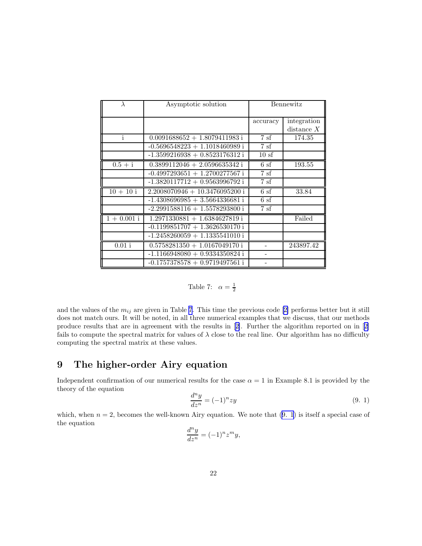<span id="page-21-0"></span>

| $\lambda$    | Asymptotic solution              | Bennewitz        |                             |
|--------------|----------------------------------|------------------|-----------------------------|
|              |                                  | accuracy         | integration<br>distance $X$ |
| $\mathbf{i}$ | $0.0091688652 + 1.8079411983$ i  | 7sf              | 174.35                      |
|              | $-0.5696548223 + 1.1018460989$ i | 7sf              |                             |
|              | $-1.3599216938 + 0.8523176312$ i | 10 <sub>sf</sub> |                             |
| $0.5 + i$    | $0.3899112046 + 2.0596635342$ i  | 6 <sub>sf</sub>  | 193.55                      |
|              | $-0.4997293651 + 1.2700277567$ i | 7sf              |                             |
|              | $-1.3820117712 + 0.9563996792$ i | 7sf              |                             |
| $10 + 10i$   | $2.2008070946 + 10.3476095200$ i | 6sf              | 33.84                       |
|              | $-1.4308696985 + 3.5664336681$ i | 6sf              |                             |
|              | $-2.2991588116 + 1.5578293800$ i | 7sf              |                             |
| $1 + 0.001i$ | $1.2971330881 + 1.6384627819$ i  |                  | Failed                      |
|              | $-0.1199851707 + 1.3626530170$ i |                  |                             |
|              | $-1.2458260059 + 1.1335541010$ i |                  |                             |
| $0.01$ i     | $0.5758281350 + 1.0167049170i$   |                  | 243897.42                   |
|              | $-1.1166948080 + 0.9334350824$ i |                  |                             |
|              | $-0.1757378578 + 0.9719497561$ i |                  |                             |

Table 7: 
$$
\alpha = \frac{1}{2}
$$

andthe values of the  $m_{ij}$  are given in Table 7. This time the previous code [[2\]](#page-25-0) performs better but it still does not match ours. It will be noted, in all three numerical examples that we discuss, that our methods produce results that are in agreement with the results in[[2\]](#page-25-0). Further the algorithm reported on in[[2\]](#page-25-0) fails to compute the spectral matrix for values of  $\lambda$  close to the real line. Our algorithm has no difficulty computing the spectral matrix at these values.

# 9 The higher-order Airy equation

Independent confirmation of our numerical results for the case  $\alpha = 1$  in Example 8.1 is provided by the theory of the equation

$$
\frac{d^n y}{dz^n} = (-1)^n z y \tag{9.1}
$$

which, when  $n = 2$ , becomes the well-known Airy equation. We note that  $(9, 1)$  is itself a special case of the equation

$$
\frac{d^n y}{dz^n} = (-1)^n z^m y,
$$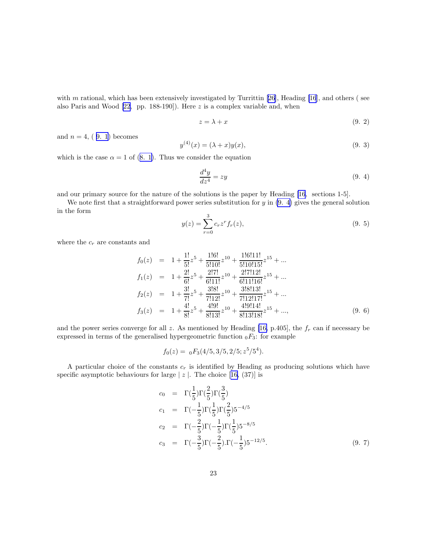<span id="page-22-0"></span>with m rational, which has been extensively investigated by Turrittin  $[26]$ , Heading  $[16]$ , and others (see also Paris and Wood [\[22](#page-26-0), pp. 188-190]). Here z is a complex variable and, when

$$
z = \lambda + x \tag{9.2}
$$

and  $n = 4$ , (9. 1) becomes

$$
y^{(4)}(x) = (\lambda + x)y(x),
$$
\n(9. 3)

whichis the case  $\alpha = 1$  of ([8. 1\)](#page-17-0). Thus we consider the equation

$$
\frac{d^4y}{dz^4} = zy\tag{9.4}
$$

and our primary source for the nature of the solutions is the paper by Heading [\[16](#page-26-0), sections 1-5].

We note first that a straightforward power series substitution for  $y$  in  $(9, 4)$  gives the general solution in the form

$$
y(z) = \sum_{r=0}^{3} c_r z^r f_r(z),
$$
\n(9. 5)

where the  $c_r$  are constants and

$$
f_0(z) = 1 + \frac{1!}{5!}z^5 + \frac{1!6!}{5!10!}z^{10} + \frac{1!6!11!}{5!10!15!}z^{15} + \dots
$$
  
\n
$$
f_1(z) = 1 + \frac{2!}{6!}z^5 + \frac{2!7!}{6!11!}z^{10} + \frac{2!7!12!}{6!11!16!}z^{15} + \dots
$$
  
\n
$$
f_2(z) = 1 + \frac{3!}{7!}z^5 + \frac{3!8!}{7!12!}z^{10} + \frac{3!8!13!}{7!12!17!}z^{15} + \dots
$$
  
\n
$$
f_3(z) = 1 + \frac{4!}{8!}z^5 + \frac{4!9!}{8!13!}z^{10} + \frac{4!9!14!}{8!13!8!}z^{15} + \dots
$$
  
\n(9. 6)

and the power series converge for all z. As mentioned by Heading [\[16,](#page-26-0) p.405], the  $f_r$  can if necessary be expressed in terms of the generalised hypergeometric function  $_0F_3$ : for example

$$
f_0(z) = \, _0F_3(4/5, 3/5, 2/5; z^5/5^4).
$$

A particular choice of the constants  $c_r$  is identified by Heading as producing solutions which have specificasymptotic behaviours for large  $|z|$ . The choice [[16,](#page-26-0) (37)] is

$$
c_0 = \Gamma(\frac{1}{5})\Gamma(\frac{2}{5})\Gamma(\frac{3}{5})
$$
  
\n
$$
c_1 = \Gamma(-\frac{1}{5})\Gamma(\frac{1}{5})\Gamma(\frac{2}{5})5^{-4/5}
$$
  
\n
$$
c_2 = \Gamma(-\frac{2}{5})\Gamma(-\frac{1}{5})\Gamma(\frac{1}{5})5^{-8/5}
$$
  
\n
$$
c_3 = \Gamma(-\frac{3}{5})\Gamma(-\frac{2}{5})\Gamma(-\frac{1}{5})5^{-12/5}.
$$
  
\n(9. 7)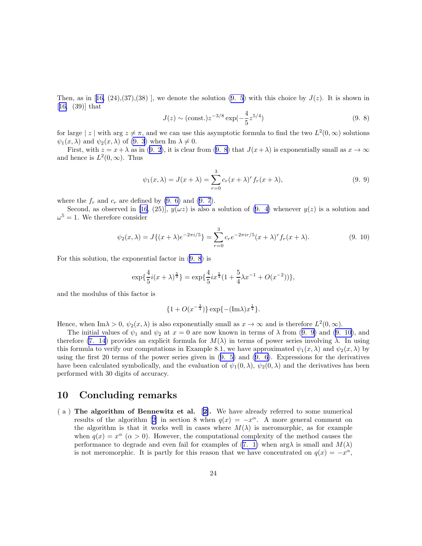Then,as in [[16,](#page-26-0)  $(24),(37),(38)$ ], we denote the solution  $(9.5)$  with this choice by  $J(z)$ . It is shown in [[16,](#page-26-0) (39)] that

$$
J(z) \sim (\text{const.}) z^{-3/8} \exp(-\frac{4}{5} z^{5/4})
$$
\n(9. 8)

for large | z | with arg  $z \neq \pi$ , and we can use this asymptotic formula to find the two  $L^2(0,\infty)$  solutions  $\psi_1(x, \lambda)$  and  $\psi_2(x, \lambda)$  of [\(9. 3](#page-22-0)) when Im  $\lambda \neq 0$ .

First,with  $z = x + \lambda$  as in ([9. 2\)](#page-22-0), it is clear from (9. 8) that  $J(x + \lambda)$  is exponentially small as  $x \to \infty$ and hence is  $L^2(0,\infty)$ . Thus

$$
\psi_1(x,\lambda) = J(x+\lambda) = \sum_{r=0}^{3} c_r (x+\lambda)^r f_r(x+\lambda),
$$
\n(9.9)

wherethe  $f_r$  and  $c_r$  are defined by [\(9. 6\)](#page-22-0) and ([9. 7](#page-22-0)).

Second, as observed in [\[16](#page-26-0), (25)],  $y(\omega z)$  is also a solution of [\(9. 4](#page-22-0)) whenever  $y(z)$  is a solution and  $\omega^5 = 1$ . We therefore consider

$$
\psi_2(x,\lambda) = J\{(x+\lambda)e^{-2\pi i/5}\} = \sum_{r=0}^3 c_r e^{-2\pi i r/5} (x+\lambda)^r f_r(x+\lambda).
$$
 (9. 10)

For this solution, the exponential factor in (9. 8) is

$$
\exp\{\frac{4}{5}i(x+\lambda)^{\frac{5}{4}}\} = \exp\{\frac{4}{5}ix^{\frac{5}{4}}(1+\frac{5}{4}\lambda x^{-1}+O(x^{-2}))\},\
$$

and the modulus of this factor is

$$
\{1 + O(x^{-\frac{3}{4}})\} \exp\{-(\text{Im}\lambda)x^{\frac{1}{4}}\}.
$$

Hence, when Im $\lambda > 0$ ,  $\psi_2(x, \lambda)$  is also exponentially small as  $x \to \infty$  and is therefore  $L^2(0, \infty)$ .

The initial values of  $\psi_1$  and  $\psi_2$  at  $x = 0$  are now known in terms of  $\lambda$  from (9. 9) and (9. 10), and therefore [\(7. 14](#page-17-0)) provides an explicit formula for  $M(\lambda)$  in terms of power series involving  $\lambda$ . In using this formula to verify our computations in Example 8.1, we have approximated  $\psi_1(x,\lambda)$  and  $\psi_2(x,\lambda)$  by using the first 20 terms of the power series given in([9. 5\)](#page-22-0) and [\(9. 6](#page-22-0)). Expressions for the derivatives have been calculated symbolically, and the evaluation of  $\psi_1(0, \lambda)$ ,  $\psi_2(0, \lambda)$  and the derivatives has been performed with 30 digits of accuracy.

### 10 Concluding remarks

( a ) The algorithm of Bennewitz et al.[[2\]](#page-25-0). We have already referred to some numerical results of the algorithm [\[2\]](#page-25-0) in section 8 when  $q(x) = -x^{\alpha}$ . A more general comment on the algorithm is that it works well in cases where  $M(\lambda)$  is meromorphic, as for example when  $q(x) = x^{\alpha}$  ( $\alpha > 0$ ). However, the computational complexity of the method causes the performance to degrade and even fail for examples of [\(7. 1\)](#page-15-0) when  $\arg \lambda$  is small and  $M(\lambda)$ is not meromorphic. It is partly for this reason that we have concentrated on  $q(x) = -x^{\alpha}$ ,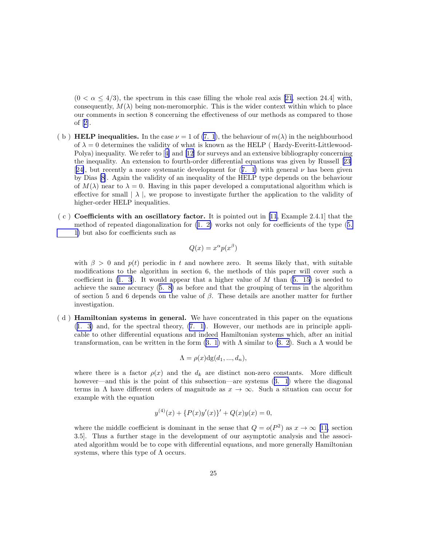$(0 < \alpha < 4/3)$ , the spectrum in this case filling the whole real axis [\[21](#page-26-0), section 24.4] with, consequently,  $M(\lambda)$  being non-meromorphic. This is the wider context within which to place our comments in section 8 concerning the effectiveness of our methods as compared to those of[[2\]](#page-25-0).

- (b) **HELP inequalities.** In the case  $\nu = 1$  of [\(7. 1](#page-15-0)), the behaviour of  $m(\lambda)$  in the neighbourhood of  $\lambda = 0$  determines the validity of what is known as the HELP (Hardy-Everitt-Littlewood-Polya) inequality. We refer to[[4\]](#page-25-0) and[[12\]](#page-26-0) for surveys and an extensive bibliography concerning the inequality. An extension to fourth-order differential equations was given by Russell[[23\]](#page-26-0) [[24\]](#page-27-0),but recently a more systematic development for  $(7, 1)$  with general  $\nu$  has been given by Dias [\[8](#page-26-0)]. Again the validity of an inequality of the HELP type depends on the behaviour of  $M(\lambda)$  near to  $\lambda = 0$ . Having in this paper developed a computational algorithm which is effective for small  $|\lambda|$ , we propose to investigate further the application to the validity of higher-order HELP inequalities.
- $(c)$  Coefficients with an oscillatory factor. It is pointed out in [\[11,](#page-26-0) Example 2.4.1] that the method of repeated diagonalization for [\(1. 2\)](#page-0-0) works not only for coefficients of the type([5.](#page-7-0) [1\)](#page-7-0) but also for coefficients such as

$$
Q(x) = x^{\alpha} p(x^{\beta})
$$

with  $\beta > 0$  and  $p(t)$  periodic in t and nowhere zero. It seems likely that, with suitable modifications to the algorithm in section 6, the methods of this paper will cover such a coefficientin  $(1, 3)$ . It would appear that a higher value of M than  $(5, 15)$  is needed to achieve the same accuracy([5. 8\)](#page-8-0) as before and that the grouping of terms in the algorithm of section 5 and 6 depends on the value of  $\beta$ . These details are another matter for further investigation.

( d ) Hamiltonian systems in general. We have concentrated in this paper on the equations ([1. 3\)](#page-0-0) and, for the spectral theory, [\(7. 1\)](#page-15-0). However, our methods are in principle applicable to other differential equations and indeed Hamiltonian systems which, after an initial transformation,can be written in the form  $(3. 1)$  $(3. 1)$  with  $\Lambda$  similar to  $(3. 2)$  $(3. 2)$  $(3. 2)$ . Such a  $\Lambda$  would be

$$
\Lambda = \rho(x) \text{dg}(d_1, ..., d_n),
$$

where there is a factor  $\rho(x)$  and the  $d_k$  are distinct non-zero constants. More difficult however—andthis is the point of this subsection—are systems  $(3, 1)$  where the diagonal terms in  $\Lambda$  have different orders of magnitude as  $x \to \infty$ . Such a situation can occur for example with the equation

$$
y^{(4)}(x) + \{P(x)y'(x)\}' + Q(x)y(x) = 0,
$$

where the middle coefficient is dominant in the sense that  $Q = o(P^2)$  as  $x \to \infty$  [\[11](#page-26-0), section 3.5]. Thus a further stage in the development of our asymptotic analysis and the associated algorithm would be to cope with differential equations, and more generally Hamiltonian systems, where this type of  $\Lambda$  occurs.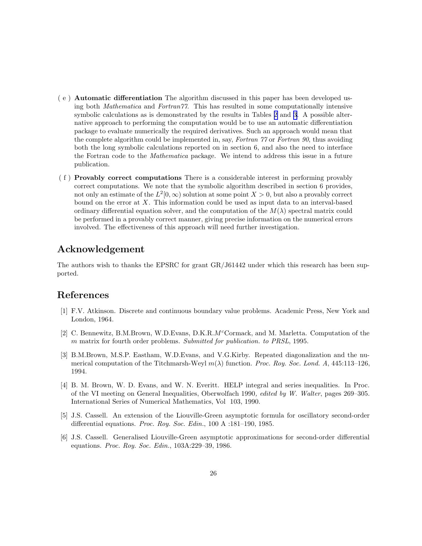- <span id="page-25-0"></span>( e ) Automatic differentiation The algorithm discussed in this paper has been developed using both Mathematica and Fortran77. This has resulted in some computationally intensive symbolic calculations as is demonstrated by the results in Tables [2](#page-13-0) and [3.](#page-14-0) A possible alternative approach to performing the computation would be to use an automatic differentiation package to evaluate numerically the required derivatives. Such an approach would mean that the complete algorithm could be implemented in, say, Fortran 77 or Fortran 90, thus avoiding both the long symbolic calculations reported on in section 6, and also the need to interface the Fortran code to the *Mathematica* package. We intend to address this issue in a future publication.
- ( f ) Provably correct computations There is a considerable interest in performing provably correct computations. We note that the symbolic algorithm described in section 6 provides, not only an estimate of the  $L^2[0,\infty)$  solution at some point  $X > 0$ , but also a provably correct bound on the error at  $X$ . This information could be used as input data to an interval-based ordinary differential equation solver, and the computation of the  $M(\lambda)$  spectral matrix could be performed in a provably correct manner, giving precise information on the numerical errors involved. The effectiveness of this approach will need further investigation.

# Acknowledgement

The authors wish to thanks the EPSRC for grant GR/J61442 under which this research has been supported.

## References

- [1] F.V. Atkinson. Discrete and continuous boundary value problems. Academic Press, New York and London, 1964.
- [2] C. Bennewitz, B.M.Brown, W.D.Evans, D.K.R. $M^c$ Cormack, and M. Marletta. Computation of the m matrix for fourth order problems. Submitted for publication. to PRSL, 1995.
- [3] B.M.Brown, M.S.P. Eastham, W.D.Evans, and V.G.Kirby. Repeated diagonalization and the numerical computation of the Titchmarsh-Weyl  $m(\lambda)$  function. Proc. Roy. Soc. Lond. A, 445:113–126, 1994.
- [4] B. M. Brown, W. D. Evans, and W. N. Everitt. HELP integral and series inequalities. In Proc. of the VI meeting on General Inequalities, Oberwolfach 1990, edited by W. Walter, pages 269–305. International Series of Numerical Mathematics, Vol 103, 1990.
- [5] J.S. Cassell. An extension of the Liouville-Green asymptotic formula for oscillatory second-order differential equations. Proc. Roy. Soc. Edin., 100 A :181–190, 1985.
- [6] J.S. Cassell. Generalised Liouville-Green asymptotic approximations for second-order differential equations. Proc. Roy. Soc. Edin., 103A:229–39, 1986.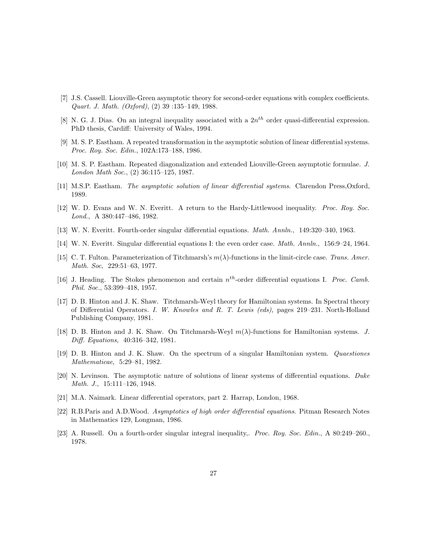- <span id="page-26-0"></span>[7] J.S. Cassell. Liouville-Green asymptotic theory for second-order equations with complex coefficients. Quart. J. Math. (Oxford), (2) 39 :135–149, 1988.
- [8] N. G. J. Dias. On an integral inequality associated with a  $2n^{th}$  order quasi-differential expression. PhD thesis, Cardiff: University of Wales, 1994.
- [9] M. S. P. Eastham. A repeated transformation in the asymptotic solution of linear differential systems. Proc. Roy. Soc. Edin., 102A:173–188, 1986.
- [10] M. S. P. Eastham. Repeated diagonalization and extended Liouville-Green asymptotic formulae. J. London Math Soc., (2) 36:115–125, 1987.
- [11] M.S.P. Eastham. The asymptotic solution of linear differential systems. Clarendon Press, Oxford, 1989.
- [12] W. D. Evans and W. N. Everitt. A return to the Hardy-Littlewood inequality. Proc. Roy. Soc. Lond., A 380:447–486, 1982.
- [13] W. N. Everitt. Fourth-order singular differential equations. Math. Annln., 149:320–340, 1963.
- [14] W. N. Everitt. Singular differential equations I: the even order case. Math. Annln., 156:9–24, 1964.
- [15] C. T. Fulton. Parameterization of Titchmarsh's  $m(\lambda)$ -functions in the limit-circle case. Trans. Amer. Math. Soc, 229:51–63, 1977.
- [16] J. Heading. The Stokes phenomenon and certain  $n^{th}$ -order differential equations I. Proc. Camb. Phil. Soc., 53:399–418, 1957.
- [17] D. B. Hinton and J. K. Shaw. Titchmarsh-Weyl theory for Hamiltonian systems. In Spectral theory of Differential Operators. I. W. Knowles and R. T. Lewis (eds), pages 219–231. North-Holland Publishing Company, 1981.
- [18] D. B. Hinton and J. K. Shaw. On Titchmarsh-Weyl  $m(\lambda)$ -functions for Hamiltonian systems. J. Diff. Equations, 40:316–342, 1981.
- [19] D. B. Hinton and J. K. Shaw. On the spectrum of a singular Hamiltonian system. Quaestiones Mathematicae, 5:29–81, 1982.
- [20] N. Levinson. The asymptotic nature of solutions of linear systems of differential equations. Duke Math. J., 15:111–126, 1948.
- [21] M.A. Naimark. Linear differential operators, part 2. Harrap, London, 1968.
- [22] R.B.Paris and A.D.Wood. Asymptotics of high order differential equations. Pitman Research Notes in Mathematics 129, Longman, 1986.
- [23] A. Russell. On a fourth-order singular integral inequality,. Proc. Roy. Soc. Edin., A 80:249–260., 1978.